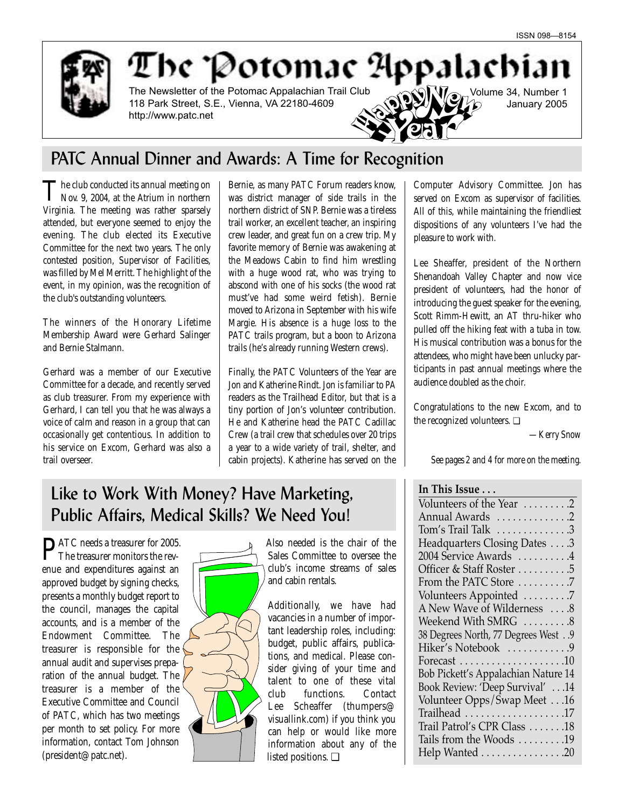Volume 34, Number 1

January 2005



The Potomac Appalachian The Newsletter of the Potomac Appalachian Trail Club 118 Park Street, S.E., Vienna, VA 22180-4609 http://www.patc.net

# PATC Annual Dinner and Awards: A Time for Recognition

The club conducted its annual meeting on<br>Nov. 9, 2004, at the Atrium in northern Virginia. The meeting was rather sparsely attended, but everyone seemed to enjoy the evening. The club elected its Executive Committee for the next two years. The only contested position, Supervisor of Facilities, was filled by Mel Merritt. The highlight of the event, in my opinion, was the recognition of the club's outstanding volunteers.

The winners of the Honorary Lifetime Membership Award were Gerhard Salinger and Bernie Stalmann.

Gerhard was a member of our Executive Committee for a decade, and recently served as club treasurer. From my experience with Gerhard, I can tell you that he was always a voice of calm and reason in a group that can occasionally get contentious. In addition to his service on Excom, Gerhard was also a trail overseer.

Bernie, as many PATC Forum readers know, was district manager of side trails in the northern district of SNP. Bernie was a tireless trail worker, an excellent teacher, an inspiring crew leader, and great fun on a crew trip. My favorite memory of Bernie was awakening at the Meadows Cabin to find him wrestling with a huge wood rat, who was trying to abscond with one of his socks (the wood rat must've had some weird fetish). Bernie moved to Arizona in September with his wife Margie. His absence is a huge loss to the PATC trails program, but a boon to Arizona trails (he's already running Western crews).

Finally, the PATC Volunteers of the Year are Jon and Katherine Rindt. Jon is familiar to *PA* readers as the Trailhead Editor, but that is a tiny portion of Jon's volunteer contribution. He and Katherine head the PATC Cadillac Crew (a trail crew that schedules over 20 trips a year to a wide variety of trail, shelter, and cabin projects). Katherine has served on the Computer Advisory Committee. Jon has served on Excom as supervisor of facilities. All of this, while maintaining the friendliest dispositions of any volunteers I've had the pleasure to work with.

Lee Sheaffer, president of the Northern Shenandoah Valley Chapter and now vice president of volunteers, had the honor of introducing the guest speaker for the evening, Scott Rimm-Hewitt, an AT thru-hiker who pulled off the hiking feat with a tuba in tow. His musical contribution was a bonus for the attendees, who might have been unlucky participants in past annual meetings where the audience doubled as the choir.

Congratulations to the new Excom, and to the recognized volunteers. ❏

*—Kerry Snow*

*See pages 2 and 4 for more on the meeting.*

# **In This Issue . . .**

Volunteers of the Year . . . . . . . . . 2 Annual Awards . . . . . . . . . . . . . 2 Tom's Trail Talk . . . . . . . . . . . . . .3 Headquarters Closing Dates . . . .3 2004 Service Awards . . . . . . . . . .4 Officer & Staff Roster . . . . . . . . . . 5 From the PATC Store . . . . . . . . . .7 Volunteers Appointed . . . . . . . . .7 A New Wave of Wilderness . . . .8 Weekend With SMRG .........8 38 Degrees North, 77 Degrees West . .9 Hiker's Notebook . . . . . . . . . . . 9 Forecast . . . . . . . . . . . . . . . . . . . .10 Bob Pickett's Appalachian Nature 14 Book Review: 'Deep Survival' . . .14 Volunteer Opps/Swap Meet . . .16 Trailhead . . . . . . . . . . . . . . . . . . .17 Trail Patrol's CPR Class . . . . . . .18 Tails from the Woods . . . . . . . . .19 Help Wanted . . . . . . . . . . . . . . . . 20

# Like to Work With Money? Have Marketing, Public Affairs, Medical Skills? We Need You!

PATC needs a treasurer for 2005. The treasurer monitors the revenue and expenditures against an approved budget by signing checks, presents a monthly budget report to the council, manages the capital accounts, and is a member of the Endowment Committee. The treasurer is responsible for the annual audit and supervises preparation of the annual budget. The treasurer is a member of the Executive Committee and Council of PATC, which has two meetings per month to set policy. For more information, contact Tom Johnson (president@patc.net).



Also needed is the chair of the Sales Committee to oversee the club's income streams of sales and cabin rentals.

Additionally, we have had vacancies in a number of important leadership roles, including: budget, public affairs, publications, and medical. Please consider giving of your time and talent to one of these vital club functions. Contact Lee Scheaffer (thumpers@ visuallink.com) if you think you can help or would like more information about any of the listed positions. ❏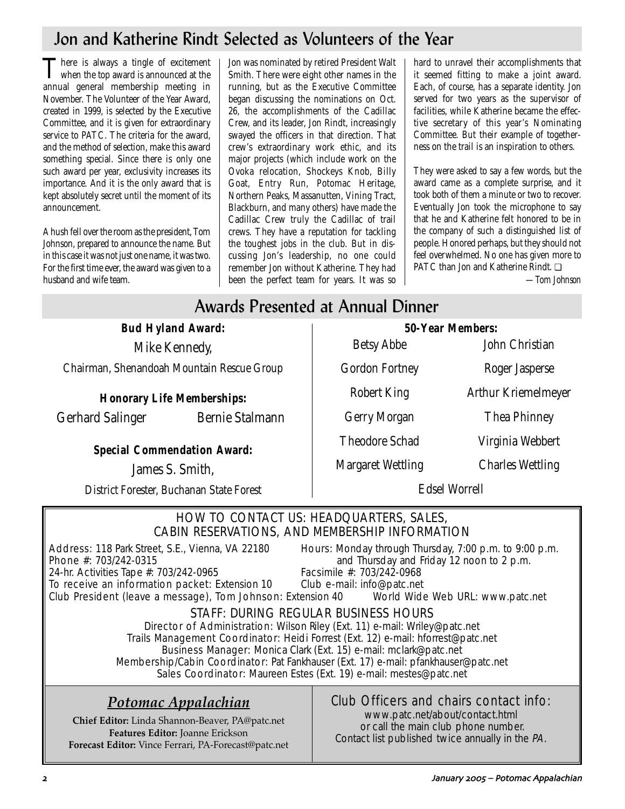# Jon and Katherine Rindt Selected as Volunteers of the Year

There is always a tingle of excitement<br>when the top award is announced at the annual general membership meeting in November. The Volunteer of the Year Award, created in 1999, is selected by the Executive Committee, and it is given for extraordinary service to PATC. The criteria for the award, and the method of selection, make this award something special. Since there is only one such award per year, exclusivity increases its importance. And it is the only award that is kept absolutely secret until the moment of its announcement.

A hush fell over the room as the president, Tom Johnson, prepared to announce the name. But in this case it was not just one name, it was two. For the first time ever, the award was given to a husband and wife team.

Jon was nominated by retired President Walt Smith. There were eight other names in the running, but as the Executive Committee began discussing the nominations on Oct. 26, the accomplishments of the Cadillac Crew, and its leader, Jon Rindt, increasingly swayed the officers in that direction. That crew's extraordinary work ethic, and its major projects (which include work on the Ovoka relocation, Shockeys Knob, Billy Goat, Entry Run, Potomac Heritage, Northern Peaks, Massanutten, Vining Tract, Blackburn, and many others) have made the Cadillac Crew truly the Cadillac of trail crews. They have a reputation for tackling the toughest jobs in the club. But in discussing Jon's leadership, no one could remember Jon without Katherine. They had been the perfect team for years. It was so

hard to unravel their accomplishments that it seemed fitting to make a joint award. Each, of course, has a separate identity. Jon served for two years as the supervisor of facilities, while Katherine became the effective secretary of this year's Nominating Committee. But their example of togetherness on the trail is an inspiration to others.

They were asked to say a few words, but the award came as a complete surprise, and it took both of them a minute or two to recover. Eventually Jon took the microphone to say that he and Katherine felt honored to be in the company of such a distinguished list of people. Honored perhaps, but they should not feel overwhelmed. No one has given more to PATC than Jon and Katherine Rindt. ❏

*—Tom Johnson*

# Awards Presented at Annual Dinner

**Bud Hyland Award:** Mike Kennedy,

Chairman, Shenandoah Mountain Rescue Group

**Honorary Life Memberships:**

Gerhard Salinger Bernie Stalmann

**Special Commendation Award:**

James S. Smith,

District Forester, Buchanan State Forest

**50-Year Members:** Betsy Abbe John Christian Gordon Fortney Roger Jasperse Robert King Arthur Kriemelmeyer Gerry Morgan Thea Phinney Theodore Schad Virginia Webbert Margaret Wettling Charles Wettling

Edsel Worrell

# HOW TO CONTACT US: HEADQUARTERS, SALES, CABIN RESERVATIONS, AND MEMBERSHIP INFORMATION

Address: 118 Park Street, S.E., Vienna, VA 22180 Hours: Monday through Thursday, 7:00 p.m. to 9:00 p.m.<br>Phone #: 703/242-0315 **Phone** #: 703/242-0315

To receive an information packet: Extension 10

and Thursday and Friday 12 noon to 2 p.m.<br>Facsimile #: 703/242-0968 24-hr. Activities Tape #: 703/242-0965 Facsimile #: 703/242-0968<br>To receive an information packet: Extension 10 Club e-mail: info@patc.net

Club President (leave a message), Tom Johnson: Extension 40 World Wide Web URL: www.patc.net

# STAFF: DURING REGULAR BUSINESS HOURS

Director of Administration: Wilson Riley (Ext. 11) e-mail: Wriley@patc.net Trails Management Coordinator: Heidi Forrest (Ext. 12) e-mail: hforrest@patc.net Business Manager: Monica Clark (Ext. 15) e-mail: mclark@patc.net Membership/Cabin Coordinator: Pat Fankhauser (Ext. 17) e-mail: pfankhauser@patc.net Sales Coordinator: Maureen Estes (Ext. 19) e-mail: mestes@patc.net

# *Potomac Appalachian*

**Chief Editor:** Linda Shannon-Beaver, PA@patc.net **Features Editor:** Joanne Erickson **Forecast Editor:** Vince Ferrari, PA-Forecast@patc.net

# Club Officers and chairs contact info:

www.patc.net/about/contact.html or call the main club phone number. Contact list published twice annually in the PA.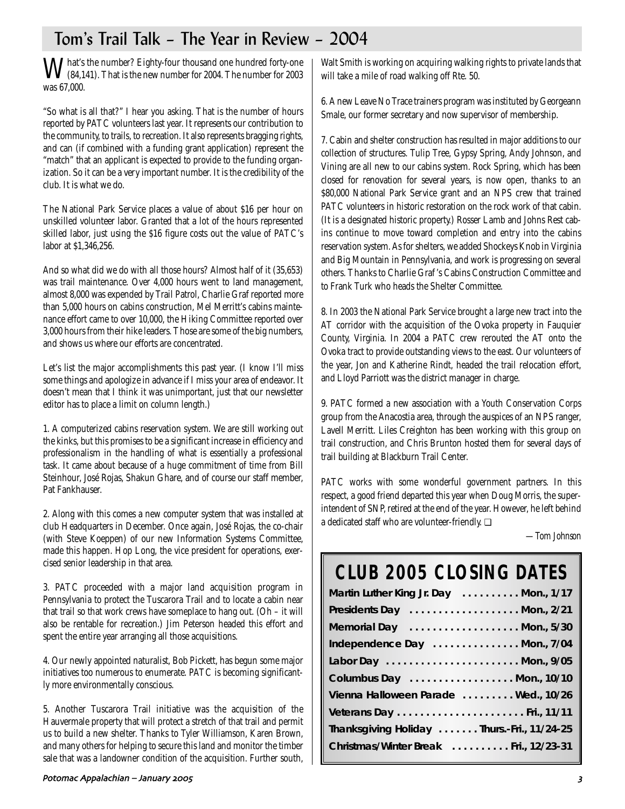# Tom's Trail Talk – The Year in Review – 2004

What's the number? Eighty-four thousand one hundred forty-one<br>(84,141). That is the new number for 2004. The number for 2003 was 67,000.

"So what is all that?" I hear you asking. That is the number of hours reported by PATC volunteers last year. It represents our contribution to the community, to trails, to recreation. It also represents bragging rights, and can (if combined with a funding grant application) represent the "match" that an applicant is expected to provide to the funding organization. So it can be a very important number. It is the credibility of the club. It is what we do.

The National Park Service places a value of about \$16 per hour on unskilled volunteer labor. Granted that a lot of the hours represented skilled labor, just using the \$16 figure costs out the value of PATC's labor at \$1,346,256.

And so what did we do with all those hours? Almost half of it (35,653) was trail maintenance. Over 4,000 hours went to land management, almost 8,000 was expended by Trail Patrol, Charlie Graf reported more than 5,000 hours on cabins construction, Mel Merritt's cabins maintenance effort came to over 10,000, the Hiking Committee reported over 3,000 hours from their hike leaders. Those are some of the big numbers, and shows us where our efforts are concentrated.

Let's list the major accomplishments this past year. (I know I'll miss some things and apologize in advance if I miss your area of endeavor. It doesn't mean that I think it was unimportant, just that our newsletter editor has to place a limit on column length.)

1. A computerized cabins reservation system. We are still working out the kinks, but this promises to be a significant increase in efficiency and professionalism in the handling of what is essentially a professional task. It came about because of a huge commitment of time from Bill Steinhour, José Rojas, Shakun Ghare, and of course our staff member, Pat Fankhauser.

2. Along with this comes a new computer system that was installed at club Headquarters in December. Once again, José Rojas, the co-chair (with Steve Koeppen) of our new Information Systems Committee, made this happen. Hop Long, the vice president for operations, exercised senior leadership in that area.

3. PATC proceeded with a major land acquisition program in Pennsylvania to protect the Tuscarora Trail and to locate a cabin near that trail so that work crews have someplace to hang out.  $(Oh - it will$ also be rentable for recreation.) Jim Peterson headed this effort and spent the entire year arranging all those acquisitions.

4. Our newly appointed naturalist, Bob Pickett, has begun some major initiatives too numerous to enumerate. PATC is becoming significantly more environmentally conscious.

5. Another Tuscarora Trail initiative was the acquisition of the Hauvermale property that will protect a stretch of that trail and permit us to build a new shelter. Thanks to Tyler Williamson, Karen Brown, and many others for helping to secure this land and monitor the timber sale that was a landowner condition of the acquisition. Further south,

Walt Smith is working on acquiring walking rights to private lands that will take a mile of road walking off Rte. 50.

6. A new Leave No Trace trainers program was instituted by Georgeann Smale, our former secretary and now supervisor of membership.

7. Cabin and shelter construction has resulted in major additions to our collection of structures. Tulip Tree, Gypsy Spring, Andy Johnson, and Vining are all new to our cabins system. Rock Spring, which has been closed for renovation for several years, is now open, thanks to an \$80,000 National Park Service grant and an NPS crew that trained PATC volunteers in historic restoration on the rock work of that cabin. (It is a designated historic property.) Rosser Lamb and Johns Rest cabins continue to move toward completion and entry into the cabins reservation system. As for shelters, we added Shockeys Knob in Virginia and Big Mountain in Pennsylvania, and work is progressing on several others. Thanks to Charlie Graf 's Cabins Construction Committee and to Frank Turk who heads the Shelter Committee.

8. In 2003 the National Park Service brought a large new tract into the AT corridor with the acquisition of the Ovoka property in Fauquier County, Virginia. In 2004 a PATC crew rerouted the AT onto the Ovoka tract to provide outstanding views to the east. Our volunteers of the year, Jon and Katherine Rindt, headed the trail relocation effort, and Lloyd Parriott was the district manager in charge.

9. PATC formed a new association with a Youth Conservation Corps group from the Anacostia area, through the auspices of an NPS ranger, Lavell Merritt. Liles Creighton has been working with this group on trail construction, and Chris Brunton hosted them for several days of trail building at Blackburn Trail Center.

PATC works with some wonderful government partners. In this respect, a good friend departed this year when Doug Morris, the superintendent of SNP, retired at the end of the year. However, he left behind a dedicated staff who are volunteer-friendly. ❏

*—Tom Johnson*

# **CLUB 2005 CLOSING DATES**

| Martin Luther King Jr. Day  Mon., 1/17     |
|--------------------------------------------|
| Presidents Day  Mon., 2/21                 |
| Memorial Day  Mon., 5/30                   |
| Independence Day  Mon., 7/04               |
|                                            |
| Columbus Day  Mon., 10/10                  |
| Vienna Halloween Parade  Wed., 10/26       |
|                                            |
| Thanksgiving Holiday Thurs.-Fri., 11/24-25 |
| Christmas/Winter Break  Fri., 12/23-31     |
|                                            |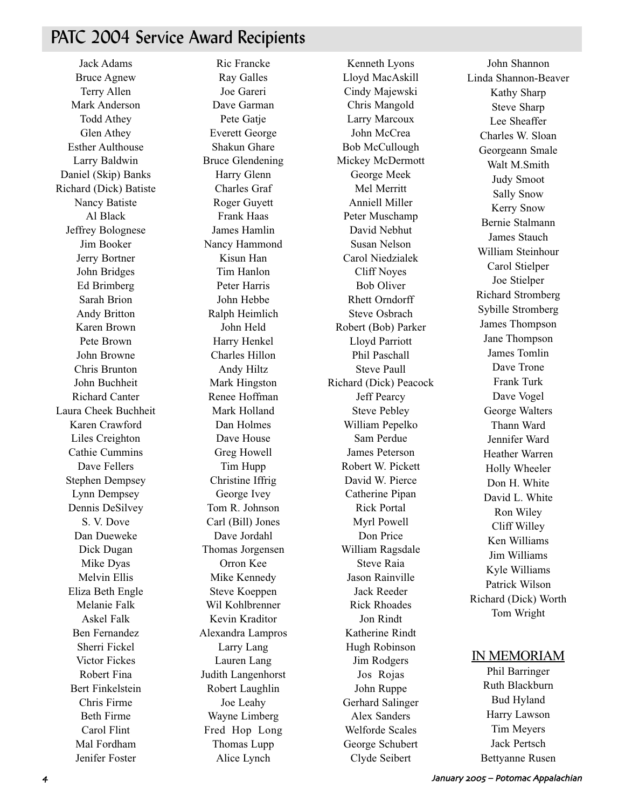# PATC 2004 Service Award Recipients

Jack Adams Bruce Agnew Terry Allen Mark Anderson Todd Athey Glen Athey Esther Aulthouse Larry Baldwin Daniel (Skip) Banks Richard (Dick) Batiste Nancy Batiste Al Black Jeffrey Bolognese Jim Booker Jerry Bortner John Bridges Ed Brimberg Sarah Brion Andy Britton Karen Brown Pete Brown John Browne Chris Brunton John Buchheit Richard Canter Laura Cheek Buchheit Karen Crawford Liles Creighton Cathie Cummins Dave Fellers Stephen Dempsey Lynn Dempsey Dennis DeSilvey S. V. Dove Dan Dueweke Dick Dugan Mike Dyas Melvin Ellis Eliza Beth Engle Melanie Falk Askel Falk Ben Fernandez Sherri Fickel Victor Fickes Robert Fina Bert Finkelstein Chris Firme Beth Firme Carol Flint Mal Fordham Jenifer Foster

Ric Francke Ray Galles Joe Gareri Dave Garman Pete Gatie Everett George Shakun Ghare Bruce Glendening Harry Glenn Charles Graf Roger Guyett Frank Haas James Hamlin Nancy Hammond Kisun Han Tim Hanlon Peter Harris John Hebbe Ralph Heimlich John Held Harry Henkel Charles Hillon Andy Hiltz Mark Hingston Renee Hoffman Mark Holland Dan Holmes Dave House Greg Howell Tim Hupp Christine Iffrig George Ivey Tom R. Johnson Carl (Bill) Jones Dave Jordahl Thomas Jorgensen Orron Kee Mike Kennedy Steve Koeppen Wil Kohlbrenner Kevin Kraditor Alexandra Lampros Larry Lang Lauren Lang Judith Langenhorst Robert Laughlin Joe Leahy Wayne Limberg Fred Hop Long Thomas Lupp Alice Lynch

Kenneth Lyons Lloyd MacAskill Cindy Majewski Chris Mangold Larry Marcoux John McCrea Bob McCullough Mickey McDermott George Meek Mel Merritt Anniell Miller Peter Muschamp David Nebhut Susan Nelson Carol Niedzialek Cliff Noyes Bob Oliver Rhett Orndorff Steve Osbrach Robert (Bob) Parker Lloyd Parriott Phil Paschall Steve Paull Richard (Dick) Peacock Jeff Pearcy Steve Pebley William Pepelko Sam Perdue James Peterson Robert W. Pickett David W. Pierce Catherine Pipan Rick Portal Myrl Powell Don Price William Ragsdale Steve Raia Jason Rainville Jack Reeder Rick Rhoades Jon Rindt Katherine Rindt Hugh Robinson Jim Rodgers Jos Rojas John Ruppe Gerhard Salinger Alex Sanders Welforde Scales George Schubert Clyde Seibert

John Shannon Linda Shannon-Beaver Kathy Sharp Steve Sharp Lee Sheaffer Charles W. Sloan Georgeann Smale Walt M.Smith Judy Smoot Sally Snow Kerry Snow Bernie Stalmann James Stauch William Steinhour Carol Stielper Joe Stielper Richard Stromberg Sybille Stromberg James Thompson Jane Thompson James Tomlin Dave Trone Frank Turk Dave Vogel George Walters Thann Ward Jennifer Ward Heather Warren Holly Wheeler Don H. White David L. White Ron Wiley Cliff Willey Ken Williams Jim Williams Kyle Williams Patrick Wilson Richard (Dick) Worth Tom Wright

## IN MEMORIAM

Phil Barringer Ruth Blackburn Bud Hyland Harry Lawson Tim Meyers Jack Pertsch Bettyanne Rusen

 January - – Potomac Appalachian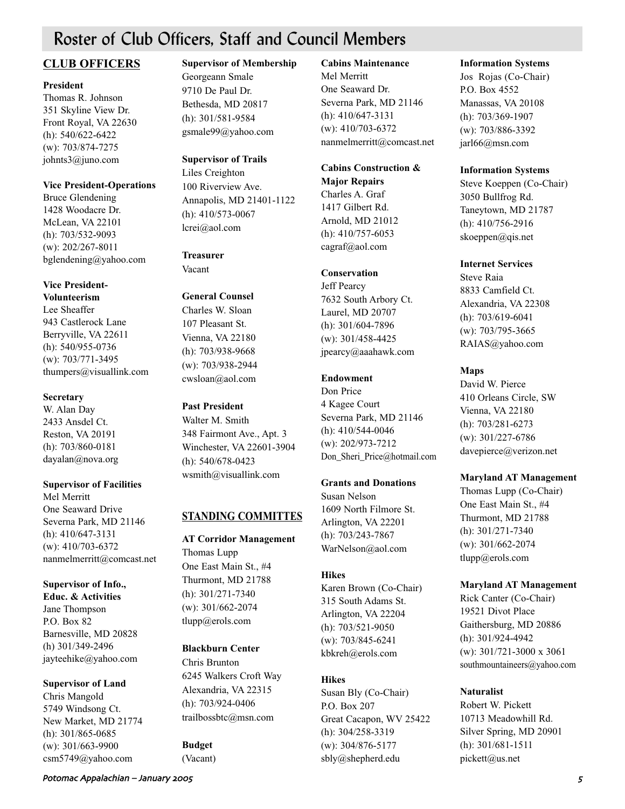# Roster of Club Officers, Staff and Council Members

# **CLUB OFFICERS**

## **President**

Thomas R. Johnson 351 Skyline View Dr. Front Royal, VA 22630 (h): 540/622-6422 (w): 703/874-7275 johnts3@juno.com

## **Vice President-Operations**

Bruce Glendening 1428 Woodacre Dr. McLean, VA 22101 (h): 703/532-9093 (w): 202/267-8011 bglendening@yahoo.com

### **Vice President-Volunteerism**

Lee Sheaffer 943 Castlerock Lane Berryville, VA 22611 (h): 540/955-0736 (w): 703/771-3495 thumpers@visuallink.com

# **Secretary**

W. Alan Day 2433 Ansdel Ct. Reston, VA 20191 (h): 703/860-0181 dayalan@nova.org

## **Supervisor of Facilities**

Mel Merritt One Seaward Drive Severna Park, MD 21146 (h): 410/647-3131 (w): 410/703-6372 nanmelmerritt@comcast.net

## **Supervisor of Info.,**

**Educ. & Activities** Jane Thompson P.O. Box 82 Barnesville, MD 20828 (h) 301/349-2496 jayteehike@yahoo.com

## **Supervisor of Land**

Chris Mangold 5749 Windsong Ct. New Market, MD 21774 (h): 301/865-0685 (w): 301/663-9900 csm5749@yahoo.com

# **Supervisor of Membership**

Georgeann Smale 9710 De Paul Dr. Bethesda, MD 20817 (h): 301/581-9584 gsmale99@yahoo.com

# **Supervisor of Trails**

Liles Creighton 100 Riverview Ave. Annapolis, MD 21401-1122 (h): 410/573-0067 lcrei@aol.com

# **Treasurer**

Vacant

#### **General Counsel** Charles W. Sloan

107 Pleasant St. Vienna, VA 22180 (h): 703/938-9668 (w): 703/938-2944 cwsloan@aol.com

# **Past President**

Walter M. Smith 348 Fairmont Ave., Apt. 3 Winchester, VA 22601-3904 (h): 540/678-0423 wsmith@visuallink.com

# **STANDING COMMITTES**

**AT Corridor Management** Thomas Lupp One East Main St., #4 Thurmont, MD 21788 (h): 301/271-7340 (w): 301/662-2074 tlupp@erols.com

# **Blackburn Center**

Chris Brunton 6245 Walkers Croft Way Alexandria, VA 22315 (h): 703/924-0406 trailbossbtc@msn.com

# **Budget**

(Vacant)

## **Cabins Maintenance**

Mel Merritt One Seaward Dr. Severna Park, MD 21146 (h): 410/647-3131 (w): 410/703-6372 nanmelmerritt@comcast.net

# **Cabins Construction & Major Repairs**

Charles A. Graf 1417 Gilbert Rd. Arnold, MD 21012 (h): 410/757-6053 cagraf@aol.com

# **Conservation**

Jeff Pearcy 7632 South Arbory Ct. Laurel, MD 20707 (h): 301/604-7896 (w): 301/458-4425 jpearcy@aaahawk.com

# **Endowment**

Don Price 4 Kagee Court Severna Park, MD 21146 (h): 410/544-0046 (w): 202/973-7212 Don Sheri Price@hotmail.com

## **Grants and Donations**

Susan Nelson 1609 North Filmore St. Arlington, VA 22201 (h): 703/243-7867 WarNelson@aol.com

# **Hikes**

Karen Brown (Co-Chair) 315 South Adams St. Arlington, VA 22204 (h): 703/521-9050 (w): 703/845-6241 kbkreh@erols.com

# **Hikes**

Susan Bly (Co-Chair) P.O. Box 207 Great Cacapon, WV 25422 (h): 304/258-3319 (w): 304/876-5177 sbly@shepherd.edu

## **Information Systems**

Jos Rojas (Co-Chair) P.O. Box 4552 Manassas, VA 20108 (h): 703/369-1907 (w): 703/886-3392 jarl66@msn.com

## **Information Systems**

Steve Koeppen (Co-Chair) 3050 Bullfrog Rd. Taneytown, MD 21787 (h): 410/756-2916 skoeppen@qis.net

## **Internet Services**

Steve Raia 8833 Camfield Ct. Alexandria, VA 22308 (h): 703/619-6041 (w): 703/795-3665 RAIAS@yahoo.com

# **Maps**

David W. Pierce 410 Orleans Circle, SW Vienna, VA 22180 (h): 703/281-6273 (w): 301/227-6786 davepierce@verizon.net

# **Maryland AT Management**

Thomas Lupp (Co-Chair) One East Main St., #4 Thurmont, MD 21788 (h): 301/271-7340 (w): 301/662-2074 tlupp@erols.com

## **Maryland AT Management**

Rick Canter (Co-Chair) 19521 Divot Place Gaithersburg, MD 20886 (h): 301/924-4942 (w): 301/721-3000 x 3061 southmountaineers@yahoo.com

# **Naturalist**

Robert W. Pickett 10713 Meadowhill Rd. Silver Spring, MD 20901 (h): 301/681-1511 pickett@us.net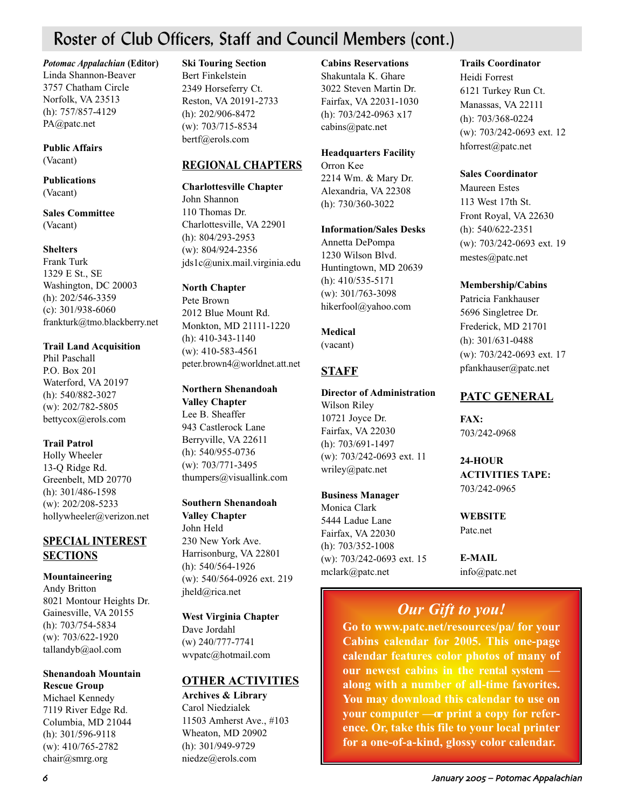# Roster of Club Officers, Staff and Council Members (cont.)

*Potomac Appalachian* **(Editor)** Linda Shannon-Beaver 3757 Chatham Circle Norfolk, VA 23513 (h): 757/857-4129 PA@patc.net

## **Public Affairs** (Vacant)

**Publications** (Vacant)

**Sales Committee** (Vacant)

## **Shelters**

Frank Turk 1329 E St., SE Washington, DC 20003 (h): 202/546-3359 (c): 301/938-6060 frankturk@tmo.blackberry.net

## **Trail Land Acquisition**

Phil Paschall P.O. Box 201 Waterford, VA 20197 (h): 540/882-3027 (w): 202/782-5805 bettycox@erols.com

## **Trail Patrol**

Holly Wheeler 13-Q Ridge Rd. Greenbelt, MD 20770 (h): 301/486-1598 (w): 202/208-5233 hollywheeler@verizon.net

# **SPECIAL INTEREST SECTIONS**

## **Mountaineering**

Andy Britton 8021 Montour Heights Dr. Gainesville, VA 20155 (h): 703/754-5834 (w): 703/622-1920 tallandyb@aol.com

# **Shenandoah Mountain Rescue Group**

Michael Kennedy 7119 River Edge Rd. Columbia, MD 21044 (h): 301/596-9118 (w): 410/765-2782 chair@smrg.org

## **Ski Touring Section**

Bert Finkelstein 2349 Horseferry Ct. Reston, VA 20191-2733 (h): 202/906-8472 (w): 703/715-8534 bertf@erols.com

# **REGIONAL CHAPTERS**

# **Charlottesville Chapter**

John Shannon 110 Thomas Dr. Charlottesville, VA 22901 (h): 804/293-2953 (w): 804/924-2356 jds1c@unix.mail.virginia.edu

# **North Chapter**

Pete Brown 2012 Blue Mount Rd. Monkton, MD 21111-1220 (h): 410-343-1140 (w): 410-583-4561 peter.brown4@worldnet.att.net

## **Northern Shenandoah**

**Valley Chapter** Lee B. Sheaffer 943 Castlerock Lane Berryville, VA 22611 (h): 540/955-0736 (w): 703/771-3495 thumpers@visuallink.com

## **Southern Shenandoah**

**Valley Chapter** John Held 230 New York Ave. Harrisonburg, VA 22801 (h): 540/564-1926 (w): 540/564-0926 ext. 219 jheld@rica.net

# **West Virginia Chapter** Dave Jordahl

(w) 240/777-7741 wvpatc@hotmail.com

# **OTHER ACTIVITIES**

**Archives & Library** Carol Niedzialek 11503 Amherst Ave., #103 Wheaton, MD 20902 (h): 301/949-9729 niedze@erols.com

## **Cabins Reservations** Shakuntala K. Ghare 3022 Steven Martin Dr. Fairfax, VA 22031-1030 (h): 703/242-0963 x17 cabins@patc.net

**Headquarters Facility** Orron Kee 2214 Wm. & Mary Dr.

Alexandria, VA 22308 (h): 730/360-3022

## **Information/Sales Desks**

Annetta DePompa 1230 Wilson Blvd. Huntingtown, MD 20639 (h): 410/535-5171 (w): 301/763-3098 hikerfool@yahoo.com

## **Medical**

(vacant)

# **STAFF**

#### **Director of Administration** Wilson Riley

10721 Joyce Dr. Fairfax, VA 22030 (h): 703/691-1497 (w): 703/242-0693 ext. 11 wriley@patc.net

## **Business Manager**

Monica Clark 5444 Ladue Lane Fairfax, VA 22030 (h): 703/352-1008 (w): 703/242-0693 ext. 15 mclark@patc.net

# **Trails Coordinator**

Heidi Forrest 6121 Turkey Run Ct. Manassas, VA 22111 (h): 703/368-0224 (w): 703/242-0693 ext. 12 hforrest@patc.net

# **Sales Coordinator**

Maureen Estes 113 West 17th St. Front Royal, VA 22630 (h): 540/622-2351 (w): 703/242-0693 ext. 19 mestes@patc.net

# **Membership/Cabins**

Patricia Fankhauser 5696 Singletree Dr. Frederick, MD 21701 (h): 301/631-0488 (w): 703/242-0693 ext. 17 pfankhauser@patc.net

# **PATC GENERAL**

**FAX:**  703/242-0968

**24-HOUR ACTIVITIES TAPE:** 703/242-0965

# **WEBSITE** Patc.net

**E-MAIL** info@patc.net

# *Our Gift to you!*

**Go to www.patc.net/resources/pa/ for your Cabins calendar for 2005. This one-page calendar features color photos of many of our newest cabins in the rental system along with a number of all-time favorites. You may download this calendar to use on** your computer — or print a copy for refer**ence. Or, take this file to your local printer for a one-of-a-kind, glossy color calendar.**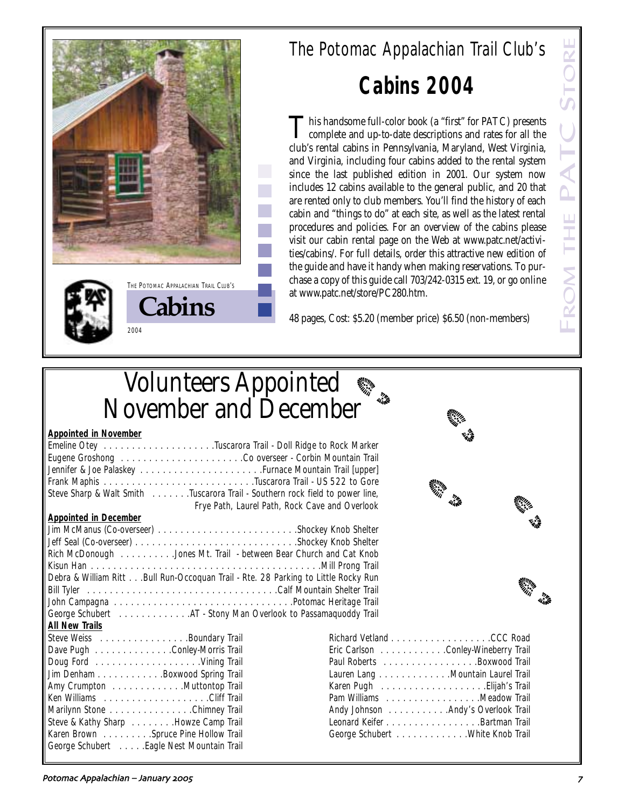





**Cabins**

2004

THE POTOMAC APPALACHIAN TRAIL CLUB'S

# The Potomac Appalachian Trail Club's **Cabins 2004**

This handsome full-color book (a "first" for PATC) presents<br>
complete and up-to-date descriptions and rates for all the club's rental cabins in Pennsylvania, Maryland, West Virginia, and Virginia, including four cabins added to the rental system since the last published edition in 2001. Our system now includes 12 cabins available to the general public, and 20 that are rented only to club members. You'll find the history of each cabin and "things to do" at each site, as well as the latest rental procedures and policies. For an overview of the cabins please visit our cabin rental page on the Web at www.patc.net/activities/cabins/. For full details, order this attractive new edition of the guide and have it handy when making reservations. To purchase a copy of this guide call 703/242-0315 ext. 19, or go online at www.patc.net/store/PC280.htm.

48 pages, Cost: \$5.20 (member price) \$6.50 (non-members)

# Volunteers Appointed November and December

# **Appointed in November**

| дррошцей ні імочення і                                                             |                                     | Y.S |
|------------------------------------------------------------------------------------|-------------------------------------|-----|
| Emeline Otey Tuscarora Trail - Doll Ridge to Rock Marker                           |                                     |     |
|                                                                                    |                                     |     |
| Jennifer & Joe Palaskey Furnace Mountain Trail [upper]                             |                                     |     |
|                                                                                    |                                     |     |
| Steve Sharp & Walt Smith Tuscarora Trail - Southern rock field to power line,      | <b>SAMILY AND</b>                   |     |
| Frye Path, Laurel Path, Rock Cave and Overlook                                     | inne<br>4148                        |     |
| <b>Appointed in December</b>                                                       |                                     |     |
| Jim McManus (Co-overseer) Shockey Knob Shelter                                     |                                     |     |
|                                                                                    |                                     |     |
| Rich McDonough Jones Mt. Trail - between Bear Church and Cat Knob                  |                                     |     |
|                                                                                    |                                     |     |
| Debra & William Ritt Bull Run-Occoquan Trail - Rte. 28 Parking to Little Rocky Run |                                     |     |
| <b>SANTA</b>                                                                       |                                     |     |
|                                                                                    |                                     |     |
|                                                                                    |                                     |     |
| All New Trails                                                                     |                                     |     |
| Steve Weiss Boundary Trail                                                         |                                     |     |
| Dave Pugh Conley-Morris Trail                                                      | Eric Carlson Conley-Wineberry Trail |     |
|                                                                                    | Paul Roberts Boxwood Trail          |     |
| Jim Denham Boxwood Spring Trail                                                    | Lauren Lang Mountain Laurel Trail   |     |
| Amy Crumpton Muttontop Trail                                                       |                                     |     |
|                                                                                    | Pam Williams Meadow Trail           |     |
| Marilynn Stone Chimney Trail                                                       | Andy Johnson Andy's Overlook Trail  |     |



| Eric Carlson Conley-Wineberry Trail |  |
|-------------------------------------|--|
| Paul Roberts Boxwood Trail          |  |
| Lauren Lang Mountain Laurel Trail   |  |
| Karen Pugh   Elijah's Trail         |  |
| Pam Williams Meadow Trail           |  |
| Andy Johnson Andy's Overlook Trail  |  |
| Leonard Keifer Bartman Trail        |  |
| George Schubert White Knob Trail    |  |

Steve & Kathy Sharp . . . . . . . . . Howze Camp Trail Karen Brown . . . . . . . . . Spruce Pine Hollow Trail George Schubert . . . . .Eagle Nest Mountain Trail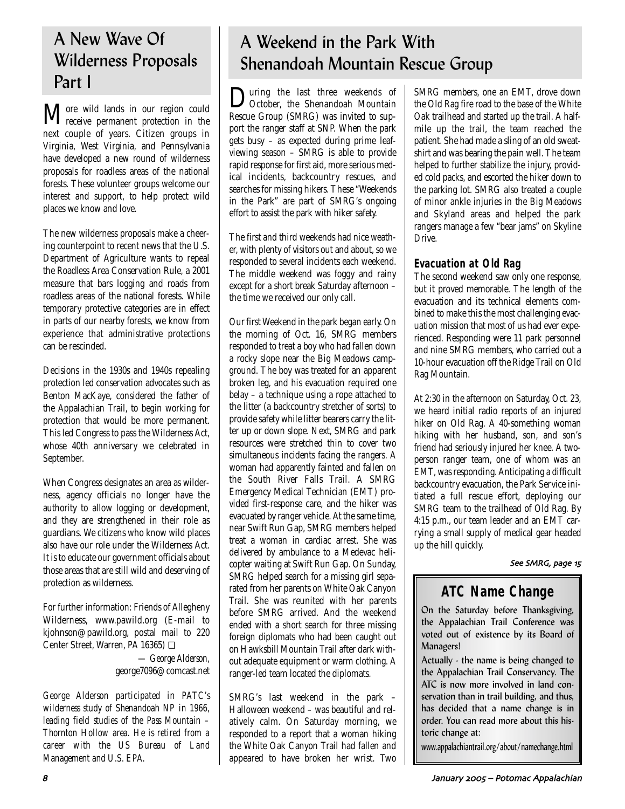# A New Wave Of Wilderness Proposals Part I

More wild lands in our region could receive permanent protection in the next couple of years. Citizen groups in Virginia, West Virginia, and Pennsylvania have developed a new round of wilderness proposals for roadless areas of the national forests. These volunteer groups welcome our interest and support, to help protect wild places we know and love.

The new wilderness proposals make a cheering counterpoint to recent news that the U.S. Department of Agriculture wants to repeal the Roadless Area Conservation Rule, a 2001 measure that bars logging and roads from roadless areas of the national forests. While temporary protective categories are in effect in parts of our nearby forests, we know from experience that administrative protections can be rescinded.

Decisions in the 1930s and 1940s repealing protection led conservation advocates such as Benton MacKaye, considered the father of the Appalachian Trail, to begin working for protection that would be more permanent. This led Congress to pass the Wilderness Act, whose 40th anniversary we celebrated in September.

When Congress designates an area as wilderness, agency officials no longer have the authority to allow logging or development, and they are strengthened in their role as guardians. We citizens who know wild places also have our role under the Wilderness Act. It is to educate our government officials about those areas that are still wild and deserving of protection as wilderness.

For further information: Friends of Allegheny Wilderness, www.pawild.org (E-mail to kjohnson@pawild.org, postal mail to 220 Center Street, Warren, PA 16365) ❏

> *— George Alderson,* george7096@comcast.net

*George Alderson participated in PATC's wilderness study of Shenandoah NP in 1966, leading field studies of the Pass Mountain – Thornton Hollow area. He is retired from a career with the US Bureau of Land Management and U.S. EPA.*

# A Weekend in the Park With Shenandoah Mountain Rescue Group

**During the last three weekends of** October, the Shenandoah Mountain Rescue Group (SMRG) was invited to support the ranger staff at SNP. When the park gets busy – as expected during prime leafviewing season – SMRG is able to provide rapid response for first aid, more serious medical incidents, backcountry rescues, and searches for missing hikers. These "Weekends in the Park" are part of SMRG's ongoing effort to assist the park with hiker safety.

The first and third weekends had nice weather, with plenty of visitors out and about, so we responded to several incidents each weekend. The middle weekend was foggy and rainy except for a short break Saturday afternoon – the time we received our only call.

Our first Weekend in the park began early. On the morning of Oct. 16, SMRG members responded to treat a boy who had fallen down a rocky slope near the Big Meadows campground. The boy was treated for an apparent broken leg, and his evacuation required one belay – a technique using a rope attached to the litter (a backcountry stretcher of sorts) to provide safety while litter bearers carry the litter up or down slope. Next, SMRG and park resources were stretched thin to cover two simultaneous incidents facing the rangers. A woman had apparently fainted and fallen on the South River Falls Trail. A SMRG Emergency Medical Technician (EMT) provided first-response care, and the hiker was evacuated by ranger vehicle. At the same time, near Swift Run Gap, SMRG members helped treat a woman in cardiac arrest. She was delivered by ambulance to a Medevac helicopter waiting at Swift Run Gap. On Sunday, SMRG helped search for a missing girl separated from her parents on White Oak Canyon Trail. She was reunited with her parents before SMRG arrived. And the weekend ended with a short search for three missing foreign diplomats who had been caught out on Hawksbill Mountain Trail after dark without adequate equipment or warm clothing. A ranger-led team located the diplomats.

SMRG's last weekend in the park – Halloween weekend – was beautiful and relatively calm. On Saturday morning, we responded to a report that a woman hiking the White Oak Canyon Trail had fallen and appeared to have broken her wrist. Two SMRG members, one an EMT, drove down the Old Rag fire road to the base of the White Oak trailhead and started up the trail. A halfmile up the trail, the team reached the patient. She had made a sling of an old sweatshirt and was bearing the pain well. The team helped to further stabilize the injury, provided cold packs, and escorted the hiker down to the parking lot. SMRG also treated a couple of minor ankle injuries in the Big Meadows and Skyland areas and helped the park rangers manage a few "bear jams" on Skyline Drive.

# **Evacuation at Old Rag**

The second weekend saw only one response, but it proved memorable. The length of the evacuation and its technical elements combined to make this the most challenging evacuation mission that most of us had ever experienced. Responding were 11 park personnel and nine SMRG members, who carried out a 10-hour evacuation off the Ridge Trail on Old Rag Mountain.

At 2:30 in the afternoon on Saturday, Oct. 23, we heard initial radio reports of an injured hiker on Old Rag. A 40-something woman hiking with her husband, son, and son's friend had seriously injured her knee. A twoperson ranger team, one of whom was an EMT, was responding. Anticipating a difficult backcountry evacuation, the Park Service initiated a full rescue effort, deploying our SMRG team to the trailhead of Old Rag. By 4:15 p.m., our team leader and an EMT carrying a small supply of medical gear headed up the hill quickly.

## See SMRG, page 15

# **ATC Name Change**

On the Saturday before Thanksgiving, the Appalachian Trail Conference was voted out of existence by its Board of Managers!

Actually - the name is being changed to the Appalachian Trail Conservancy. The ATC is now more involved in land conservation than in trail building, and thus, has decided that a name change is in order. You can read more about this historic change at:

www.appalachiantrail.org/about/namechange.html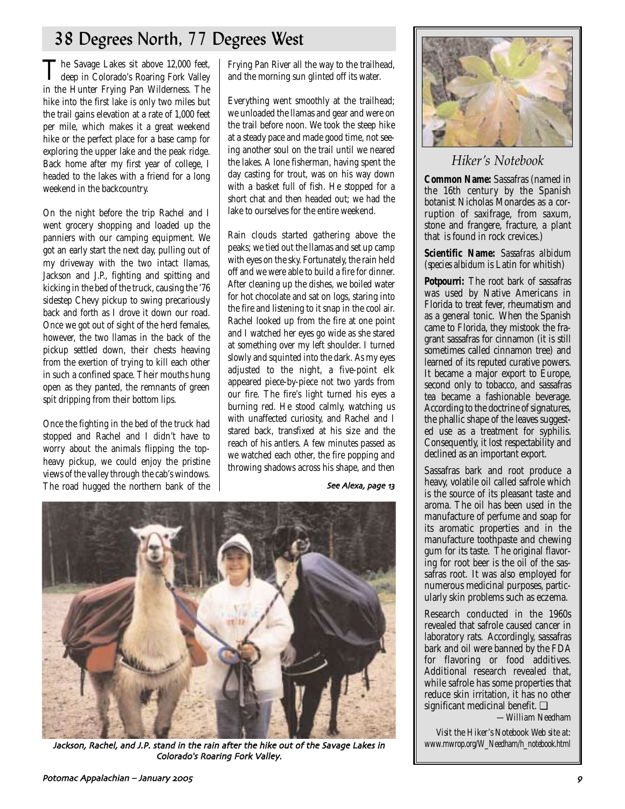# 38 Degrees North, 77 Degrees West

The Savage Lakes sit above 12,000 feet,<br>deep in Colorado's Roaring Fork Valley<br>with The in the Hunter Frying Pan Wilderness. The hike into the first lake is only two miles but the trail gains elevation at a rate of 1,000 feet per mile, which makes it a great weekend hike or the perfect place for a base camp for exploring the upper lake and the peak ridge. Back home after my first year of college, I headed to the lakes with a friend for a long weekend in the backcountry.

On the night before the trip Rachel and I went grocery shopping and loaded up the panniers with our camping equipment. We got an early start the next day, pulling out of my driveway with the two intact llamas, Jackson and J.P., fighting and spitting and kicking in the bed of the truck, causing the '76 sidestep Chevy pickup to swing precariously back and forth as I drove it down our road. Once we got out of sight of the herd females, however, the two llamas in the back of the pickup settled down, their chests heaving from the exertion of trying to kill each other in such a confined space. Their mouths hung open as they panted, the remnants of green spit dripping from their bottom lips.

Once the fighting in the bed of the truck had stopped and Rachel and I didn't have to worry about the animals flipping the topheavy pickup, we could enjoy the pristine views of the valley through the cab's windows. The road hugged the northern bank of the

Frying Pan River all the way to the trailhead, and the morning sun glinted off its water.

Everything went smoothly at the trailhead; we unloaded the llamas and gear and were on the trail before noon. We took the steep hike at a steady pace and made good time, not seeing another soul on the trail until we neared the lakes. A lone fisherman, having spent the day casting for trout, was on his way down with a basket full of fish. He stopped for a short chat and then headed out; we had the lake to ourselves for the entire weekend.

Rain clouds started gathering above the peaks; we tied out the llamas and set up camp with eyes on the sky. Fortunately, the rain held off and we were able to build a fire for dinner. After cleaning up the dishes, we boiled water for hot chocolate and sat on logs, staring into the fire and listening to it snap in the cool air. Rachel looked up from the fire at one point and I watched her eyes go wide as she stared at something over my left shoulder. I turned slowly and squinted into the dark. As my eyes adjusted to the night, a five-point elk appeared piece-by-piece not two yards from our fire. The fire's light turned his eyes a burning red. He stood calmly, watching us with unaffected curiosity, and Rachel and I stared back, transfixed at his size and the reach of his antlers. A few minutes passed as we watched each other, the fire popping and throwing shadows across his shape, and then

## See Alexa, page 13



Jackson, Rachel, and J.P. stand in the rain after the hike out of the Savage Lakes in Colorado's Roaring Fork Valley.



# *Hiker's Notebook*

**Common Name:** Sassafras (named in the 16th century by the Spanish botanist Nicholas Monardes as a corruption of saxifrage, from saxum, stone and frangere, fracture, a plant that is found in rock crevices.)

## **Scientific Name:** *Sassafras albidum* (*species albidum* is Latin for whitish)

**Potpourri:** The root bark of sassafras was used by Native Americans in Florida to treat fever, rheumatism and as a general tonic. When the Spanish came to Florida, they mistook the fragrant sassafras for cinnamon (it is still sometimes called cinnamon tree) and learned of its reputed curative powers. It became a major export to Europe, second only to tobacco, and sassafras tea became a fashionable beverage. According to the doctrine of signatures, the phallic shape of the leaves suggested use as a treatment for syphilis. Consequently, it lost respectability and declined as an important export.

Sassafras bark and root produce a heavy, volatile oil called safrole which is the source of its pleasant taste and aroma. The oil has been used in the manufacture of perfume and soap for its aromatic properties and in the manufacture toothpaste and chewing gum for its taste. The original flavoring for root beer is the oil of the sassafras root. It was also employed for numerous medicinal purposes, particularly skin problems such as eczema.

Research conducted in the 1960s revealed that safrole caused cancer in laboratory rats. Accordingly, sassafras bark and oil were banned by the FDA for flavoring or food additives. Additional research revealed that, while safrole has some properties that reduce skin irritation, it has no other significant medicinal benefit. ❏

*—William Needham*

*Visit the Hiker's Notebook Web site at: www.mwrop.org/W\_Needham/h\_notebook.html*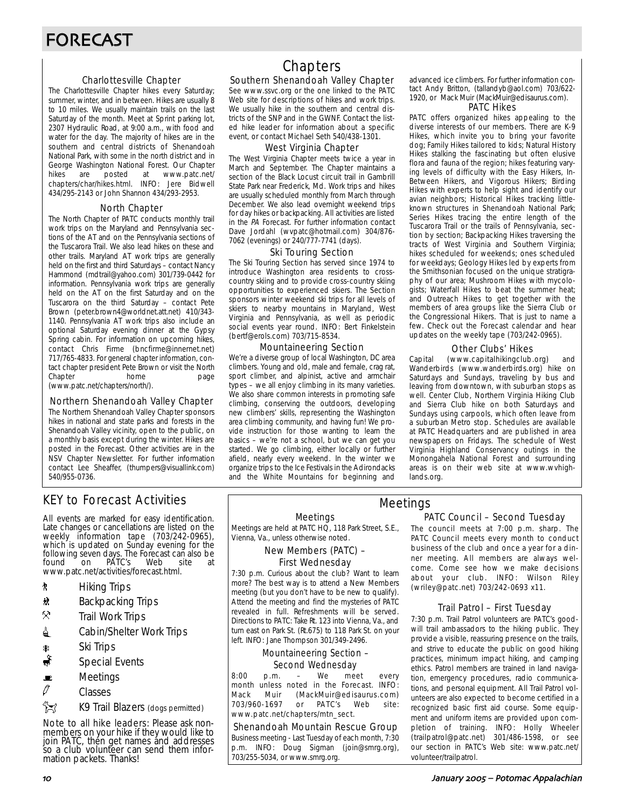#### Charlottesville Chapter

The Charlottesville Chapter hikes every Saturday; summer, winter, and in between. Hikes are usually 8 to 10 miles. We usually maintain trails on the last Saturday of the month. Meet at Sprint parking lot, 2307 Hydraulic Road, at 9:00 a.m., with food and water for the day. The majority of hikes are in the southern and central districts of Shenandoah National Park, with some in the north district and in George Washington National Forest. Our Chapter hikes are posted at www.patc.net/ chapters/char/hikes.html. INFO: Jere Bidwell 434/295-2143 or John Shannon 434/293-2953.

#### North Chapter

The North Chapter of PATC conducts monthly trail work trips on the Maryland and Pennsylvania sections of the AT and on the Pennsylvania sections of the Tuscarora Trail. We also lead hikes on these and other trails. Maryland AT work trips are generally held on the first and third Saturdays – contact Nancy Hammond (mdtrail@yahoo.com) 301/739-0442 for information. Pennsylvania work trips are generally held on the AT on the first Saturday and on the Tuscarora on the third Saturday – contact Pete Brown (peter.brown4@worldnet.att.net) 410/343- 1140. Pennsylvania AT work trips also include an optional Saturday evening dinner at the Gypsy Spring cabin. For information on upcoming hikes, contact Chris Firme (bncfirme@innernet.net) 717/765-4833. For general chapter information, contact chapter president Pete Brown or visit the North Chapter **home** page (www.patc.net/chapters/north/).

#### Northern Shenandoah Valley Chapter

The Northern Shenandoah Valley Chapter sponsors hikes in national and state parks and forests in the Shenandoah Valley vicinity, open to the public, on a monthly basis except during the winter. Hikes are posted in the Forecast. Other activities are in the NSV Chapter Newsletter. For further information contact Lee Sheaffer, (thumpers@visuallink.com) 540/955-0736.

# KEY to Forecast Activities

All events are marked for easy identification. Late changes or cancellations are listed on the weekly information tape (703/242-0965), which is updated on Sunday evening for the following seven days. The Forecast can also be found on PATC's Web site at www.patc.net/activities/forecast.html.

- **\*** Hiking Trips
- \* Backpacking Trips
- $\otimes$  Trail Work Trips
- **4** Cabin/Shelter Work Trips
- 
- Ri Trips‱<br>ا Special Special Events
- $\blacksquare$  Meetings
- $\mathscr O$  Classes
- z K9 Trail Blazers (dogs permitted)

Note to all hike leaders: Please ask nonmembers on your hike if they would like to join PATC, thén get names ánd addresses so a club volunteer can send them information packets. Thanks!

# **Chapters**

#### Southern Shenandoah Valley Chapter

See www.ssvc.org or the one linked to the PATC Web site for descriptions of hikes and work trips. We usually hike in the southern and central districts of the SNP and in the GWNF. Contact the listed hike leader for information about a specific event, or contact Michael Seth 540/438-1301.

#### West Virginia Chapter

The West Virginia Chapter meets twice a year in March and September. The Chapter maintains a section of the Black Locust circuit trail in Gambrill State Park near Frederick, Md. Work trips and hikes are usually scheduled monthly from March through December. We also lead overnight weekend trips for day hikes or backpacking. All activities are listed in the PA Forecast. For further information contact Dave Jordahl (wvpatc@hotmail.com) 304/876- 7062 (evenings) or 240/777-7741 (days).

#### Ski Touring Section

The Ski Touring Section has served since 1974 to introduce Washington area residents to crosscountry skiing and to provide cross-country skiing opportunities to experienced skiers. The Section sponsors winter weekend ski trips for all levels of skiers to nearby mountains in Maryland, West Virginia and Pennsylvania, as well as periodic social events year round. INFO: Bert Finkelstein (bertf@erols.com) 703/715-8534.

#### Mountaineering Section

We're a diverse group of local Washington, DC area climbers. Young and old, male and female, crag rat, sport climber, and alpinist, active and armchair types – we all enjoy climbing in its many varieties. We also share common interests in promoting safe climbing, conserving the outdoors, developing new climbers' skills, representing the Washington area climbing community, and having fun! We provide instruction for those wanting to learn the basics – we're not a school, but we can get you started. We go climbing, either locally or further afield, nearly every weekend. In the winter we organize trips to the Ice Festivals in the Adirondacks and the White Mountains for beginning and advanced ice climbers. For further information contact Andy Britton, (tallandyb@aol.com) 703/622- 1920, or Mack Muir (MackMuir@edisaurus.com).

#### PATC Hikes

PATC offers organized hikes appealing to the diverse interests of our members. There are K-9 Hikes, which invite you to bring your favorite dog; Family Hikes tailored to kids; Natural History Hikes stalking the fascinating but often elusive flora and fauna of the region; hikes featuring varying levels of difficulty with the Easy Hikers, In-Between Hikers, and Vigorous Hikers; Birding Hikes with experts to help sight and identify our avian neighbors; Historical Hikes tracking littleknown structures in Shenandoah National Park; Series Hikes tracing the entire length of the Tuscarora Trail or the trails of Pennsylvania, section by section; Backpacking Hikes traversing the tracts of West Virginia and Southern Virginia; hikes scheduled for weekends; ones scheduled for weekdays; Geology Hikes led by experts from the Smithsonian focused on the unique stratigraphy of our area; Mushroom Hikes with mycologists; Waterfall Hikes to beat the summer heat; and Outreach Hikes to get together with the members of area groups like the Sierra Club or the Congressional Hikers. That is just to name a few. Check out the Forecast calendar and hear updates on the weekly tape (703/242-0965).

#### Other Clubs' Hikes

Capital (www.capitalhikingclub.org) and Wanderbirds (www.wanderbirds.org) hike on Saturdays and Sundays, traveling by bus and leaving from downtown, with suburban stops as well. Center Club, Northern Virginia Hiking Club and Sierra Club hike on both Saturdays and Sundays using carpools, which often leave from a suburban Metro stop. Schedules are available at PATC Headquarters and are published in area newspapers on Fridays. The schedule of West Virginia Highland Conservancy outings in the Monongahela National Forest and surrounding areas is on their web site at www.wvhighlands.org.

Meetings

#### PATC Council – Second Tuesday

Meetings Meetings are held at PATC HQ, 118 Park Street, S.E., Vienna, Va., unless otherwise noted.

#### New Members (PATC) – First Wednesday

7:30 p.m. Curious about the club? Want to learn more? The best way is to attend a New Members meeting (but you don't have to be new to qualify). Attend the meeting and find the mysteries of PATC revealed in full. Refreshments will be served. Directions to PATC: Take Rt. 123 into Vienna, Va., and turn east on Park St. (Rt.675) to 118 Park St. on your left. INFO: Jane Thompson 301/349-2496.

#### Mountaineering Section – Second Wednesday

8:00 p.m. – We meet every month unless noted in the Forecast. INFO: Mack Muir (MackMuir@edisaurus.com) 703/960-1697 or PATC's Web site: www.patc.net/chapters/mtn\_sect.

Shenandoah Mountain Rescue Group Business meeting - Last Tuesday of each month, 7:30 p.m. INFO: Doug Sigman (join@smrg.org), 703/255-5034, or www.smrg.org.

The council meets at 7:00 p.m. sharp. The PATC Council meets every month to conduct business of the club and once a year for a dinner meeting. All members are always welcome. Come see how we make decisions about your club. INFO: Wilson Riley (wriley@patc.net) 703/242-0693 x11.

#### Trail Patrol – First Tuesday

7:30 p.m. Trail Patrol volunteers are PATC's goodwill trail ambassadors to the hiking public. They provide a visible, reassuring presence on the trails, and strive to educate the public on good hiking practices, minimum impact hiking, and camping ethics. Patrol members are trained in land navigation, emergency procedures, radio communications, and personal equipment. All Trail Patrol volunteers are also expected to become certified in a recognized basic first aid course. Some equipment and uniform items are provided upon completion of training. INFO: Holly Wheeler (trailpatrol@patc.net) 301/486-1598, or see our section in PATC's Web site: www.patc.net/ volunteer/trailpatrol.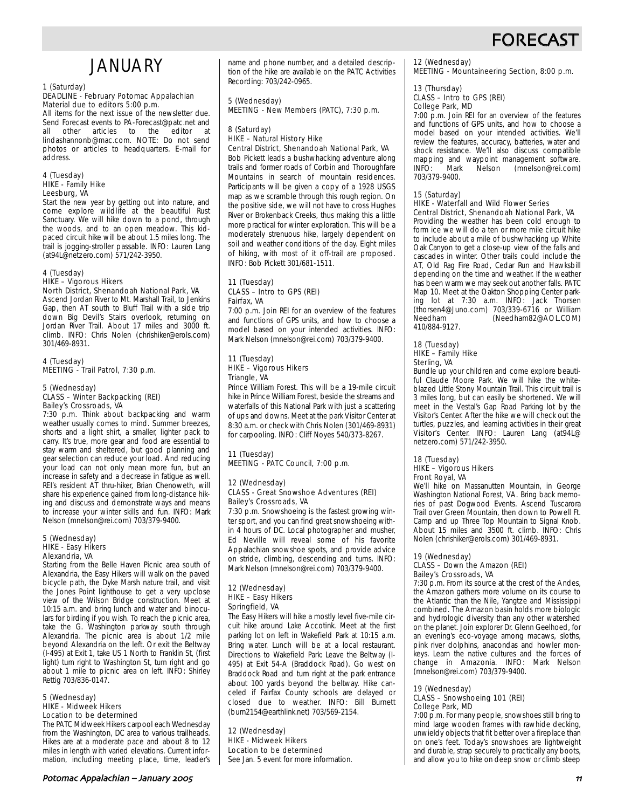# **FORECAS**

# **JANUARY**

#### 1 (Saturday) DEADLINE - February Potomac Appalachian Material due to editors 5:00 p.m.

All items for the next issue of the newsletter due. Send Forecast events to PA-Forecast@patc.net and<br>all other articles to the editor at other articles to the lindashannonb@mac.com. NOTE: Do not send photos or articles to headquarters. E-mail for address.

#### 4 (Tuesday) HIKE - Family Hike Leesburg, VA

Start the new year by getting out into nature, and come explore wildlife at the beautiful Rust Sanctuary. We will hike down to a pond, through the woods, and to an open meadow. This kidpaced circuit hike will be about 1.5 miles long. The trail is jogging-stroller passable. INFO: Lauren Lang (at94L@netzero.com) 571/242-3950.

#### 4 (Tuesday) HIKE – Vigorous Hikers

#### North District, Shenandoah National Park, VA

Ascend Jordan River to Mt. Marshall Trail, to Jenkins Gap, then AT south to Bluff Trail with a side trip down Big Devil's Stairs overlook, returning on Jordan River Trail. About 17 miles and 3000 ft. climb. INFO: Chris Nolen (chrishiker@erols.com) 301/469-8931.

4 (Tuesday) MEETING - Trail Patrol, 7:30 p.m.

#### 5 (Wednesday) CLASS – Winter Backpacking (REI) Bailey's Crossroads, VA

7:30 p.m. Think about backpacking and warm weather usually comes to mind. Summer breezes, shorts and a light shirt, a smaller, lighter pack to carry. It's true, more gear and food are essential to stay warm and sheltered, but good planning and gear selection can reduce your load. And reducing your load can not only mean more fun, but an increase in safety and a decrease in fatigue as well. REI's resident AT thru-hiker, Brian Chenoweth, will share his experience gained from long-distance hiking and discuss and demonstrate ways and means to increase your winter skills and fun. INFO: Mark Nelson (mnelson@rei.com) 703/379-9400.

#### 5 (Wednesday) HIKE - Easy Hikers Alexandria, VA

Starting from the Belle Haven Picnic area south of Alexandria, the Easy Hikers will walk on the paved bicycle path, the Dyke Marsh nature trail, and visit the Jones Point lighthouse to get a very upclose view of the Wilson Bridge construction. Meet at 10:15 a.m. and bring lunch and water and binoculars for birding if you wish. To reach the picnic area, take the G. Washington parkway south through Alexandria. The picnic area is about 1/2 mile beyond Alexandria on the left. Or exit the Beltway (I-495) at Exit 1, take US 1 North to Franklin St, (first light) turn right to Washington St, turn right and go about 1 mile to picnic area on left. INFO: Shirley Rettig 703/836-0147.

#### 5 (Wednesday) HIKE - Midweek Hikers Location to be determined

The PATC Midweek Hikers carpool each Wednesday from the Washington, DC area to various trailheads. Hikes are at a moderate pace and about 8 to 12 miles in length with varied elevations. Current information, including meeting place, time, leader's name and phone number, and a detailed description of the hike are available on the PATC Activities Recording: 703/242-0965.

# 5 (Wednesday) MEETING - New Members (PATC), 7:30 p.m.

#### 8 (Saturday) HIKE – Natural History Hike

Central District, Shenandoah National Park, VA Bob Pickett leads a bushwhacking adventure along trails and former roads of Corbin and Thoroughfare Mountains in search of mountain residences. Participants will be given a copy of a 1928 USGS map as we scramble through this rough region. On the positive side, we will not have to cross Hughes River or Brokenback Creeks, thus making this a little more practical for winter exploration. This will be a moderately strenuous hike, largely dependent on soil and weather conditions of the day. Eight miles of hiking, with most of it off-trail are proposed. INFO: Bob Pickett 301/681-1511.

#### 11 (Tuesday) CLASS – Intro to GPS (REI) Fairfax, VA

7:00 p.m. Join REI for an overview of the features and functions of GPS units, and how to choose a model based on your intended activities. INFO: Mark Nelson (mnelson@rei.com) 703/379-9400.

#### 11 (Tuesday) HIKE – Vigorous Hikers Triangle, VA

Prince William Forest. This will be a 19-mile circuit hike in Prince William Forest, beside the streams and waterfalls of this National Park with just a scattering of ups and downs. Meet at the park Visitor Center at 8:30 a.m. or check with Chris Nolen (301/469-8931) for carpooling. INFO: Cliff Noyes 540/373-8267.

#### 11 (Tuesday) MEETING - PATC Council, 7:00 p.m.

#### 12 (Wednesday) CLASS - Great Snowshoe Adventures (REI) Bailey's Crossroads, VA

7:30 p.m. Snowshoeing is the fastest growing winter sport, and you can find great snowshoeing within 4 hours of DC. Local photographer and musher, Ed Neville will reveal some of his favorite Appalachian snowshoe spots, and provide advice on stride, climbing, descending and turns. INFO: Mark Nelson (mnelson@rei.com) 703/379-9400.

#### 12 (Wednesday) HIKE – Easy Hikers Springfield, VA

The Easy Hikers will hike a mostly level five-mile circuit hike around Lake Accotink. Meet at the first parking lot on left in Wakefield Park at 10:15 a.m. Bring water. Lunch will be at a local restaurant. Directions to Wakefield Park: Leave the Beltway (I-495) at Exit 54-A (Braddock Road). Go west on Braddock Road and turn right at the park entrance about 100 yards beyond the beltway. Hike canceled if Fairfax County schools are delayed or closed due to weather. INFO: Bill Burnett (burn2154@earthlink.net) 703/569-2154.

12 (Wednesday) HIKE - Midweek Hikers Location to be determined See Jan. 5 event for more information.

#### 12 (Wednesday)

MEETING - Mountaineering Section, 8:00 p.m.

#### 13 (Thursday) CLASS – Intro to GPS (REI) College Park, MD

7:00 p.m. Join REI for an overview of the features and functions of GPS units, and how to choose a model based on your intended activities. We'll review the features, accuracy, batteries, water and shock resistance. We'll also discuss compatible mapping and waypoint management software.<br>INFO: Mark Nelson (mnelson@rei.com) (mnelson@rei.com) 703/379-9400.

#### 15 (Saturday) HIKE - Waterfall and Wild Flower Series Central District, Shenandoah National Park, VA

Providing the weather has been cold enough to form ice we will do a ten or more mile circuit hike to include about a mile of bushwhacking up White Oak Canyon to get a close-up view of the falls and cascades in winter. Other trails could include the AT, Old Rag Fire Road, Cedar Run and Hawksbill depending on the time and weather. If the weather has been warm we may seek out another falls. PATC Map 10. Meet at the Oakton Shopping Center parking lot at 7:30 a.m. INFO: Jack Thorsen (thorsen4@Juno.com) 703/339-6716 or William Needham (Needham82@AOL.COM) 410/884-9127.

#### 18 (Tuesday) HIKE – Family Hike Sterling, VA

Bundle up your children and come explore beautiful Claude Moore Park. We will hike the whiteblazed Little Stony Mountain Trail. This circuit trail is 3 miles long, but can easily be shortened. We will meet in the Vestal's Gap Road Parking lot by the Visitor's Center. After the hike we will check out the turtles, puzzles, and learning activities in their great Visitor's Center. INFO: Lauren Lang (at94L@ netzero.com) 571/242-3950.

#### 18 (Tuesday) HIKE – Vigorous Hikers Front Royal, VA

We'll hike on Massanutten Mountain, in George Washington National Forest, VA. Bring back memories of past Dogwood Events. Ascend Tuscarora Trail over Green Mountain, then down to Powell Ft. Camp and up Three Top Mountain to Signal Knob. About 15 miles and 3500 ft. climb. INFO: Chris Nolen (chrishiker@erols.com) 301/469-8931.

## 19 (Wednesday)

#### CLASS – Down the Amazon (REI) Bailey's Crossroads, VA

7:30 p.m. From its source at the crest of the Andes, the Amazon gathers more volume on its course to the Atlantic than the Nile, Yangtze and Mississippi combined. The Amazon basin holds more biologic and hydrologic diversity than any other watershed on the planet. Join explorer Dr. Glenn Geelhoed, for an evening's eco-voyage among macaws, sloths, pink river dolphins, anacondas and howler monkeys. Learn the native cultures and the forces of change in Amazonia. INFO: Mark Nelson (mnelson@rei.com) 703/379-9400.

#### 19 (Wednesday) CLASS – Snowshoeing 101 (REI) College Park, MD

7:00 p.m. For many people, snowshoes still bring to mind large wooden frames with rawhide decking, unwieldy objects that fit better over a fireplace than on one's feet. Today's snowshoes are lightweight and durable, strap securely to practically any boots, and allow you to hike on deep snow or climb steep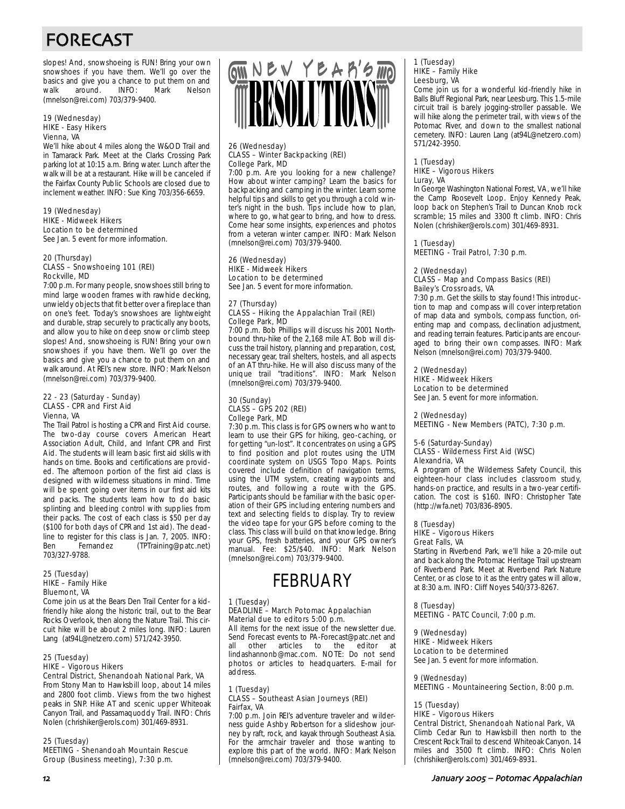# FORECAST

slopes! And, snowshoeing is FUN! Bring your own snowshoes if you have them. We'll go over the basics and give you a chance to put them on and walk around. INFO: Mark Nelson (mnelson@rei.com) 703/379-9400.

#### 19 (Wednesday) HIKE - Easy Hikers Vienna, VA

We'll hike about 4 miles along the W&OD Trail and in Tamarack Park. Meet at the Clarks Crossing Park parking lot at 10:15 a.m. Bring water. Lunch after the walk will be at a restaurant. Hike will be canceled if the Fairfax County Public Schools are closed due to inclement weather. INFO: Sue King 703/356-6659.

#### 19 (Wednesday) HIKE - Midweek Hikers Location to be determined See Jan. 5 event for more information.

#### 20 (Thursday) CLASS – Snowshoeing 101 (REI) Rockville, MD

7:00 p.m. For many people, snowshoes still bring to mind large wooden frames with rawhide decking, unwieldy objects that fit better over a fireplace than on one's feet. Today's snowshoes are lightweight and durable, strap securely to practically any boots, and allow you to hike on deep snow or climb steep slopes! And, snowshoeing is FUN! Bring your own snowshoes if you have them. We'll go over the basics and give you a chance to put them on and walk around. At REI's new store. INFO: Mark Nelson (mnelson@rei.com) 703/379-9400.

#### 22 - 23 (Saturday - Sunday) CLASS - CPR and First Aid Vienna, VA

The Trail Patrol is hosting a CPR and First Aid course. The two-day course covers American Heart Association Adult, Child, and Infant CPR and First Aid. The students will learn basic first aid skills with hands on time. Books and certifications are provided. The afternoon portion of the first aid class is designed with wilderness situations in mind. Time will be spent going over items in our first aid kits and packs. The students learn how to do basic splinting and bleeding control with supplies from their packs. The cost of each class is \$50 per day (\$100 for both days of CPR and 1st aid). The deadline to register for this class is Jan. 7, 2005. INFO:<br>Ben Fernandez (TPTraining@patc.net) (TPTraining@patc.net) 703/327-9788.

#### 25 (Tuesday) HIKE – Family Hike Bluemont, VA

Come join us at the Bears Den Trail Center for a kidfriendly hike along the historic trail, out to the Bear Rocks Overlook, then along the Nature Trail. This circuit hike will be about 2 miles long. INFO: Lauren Lang (at94L@netzero.com) 571/242-3950.

# 25 (Tuesday)

HIKE – Vigorous Hikers Central District, Shenandoah National Park, VA

From Stony Man to Hawksbill loop, about 14 miles and 2800 foot climb. Views from the two highest peaks in SNP. Hike AT and scenic upper Whiteoak Canyon Trail, and Passamaquoddy Trail. INFO: Chris Nolen (chrishiker@erols.com) 301/469-8931.

#### 25 (Tuesday)

MEETING - Shenandoah Mountain Rescue Group (Business meeting), 7:30 p.m.



#### 26 (Wednesday) CLASS – Winter Backpacking (REI) College Park, MD

7:00 p.m. Are you looking for a new challenge? How about winter camping? Learn the basics for backpacking and camping in the winter. Learn some helpful tips and skills to get you through a cold winter's night in the bush. Tips include how to plan, where to go, what gear to bring, and how to dress. Come hear some insights, experiences and photos from a veteran winter camper. INFO: Mark Nelson (mnelson@rei.com) 703/379-9400.

#### 26 (Wednesday) HIKE - Midweek Hikers Location to be determined

See Jan. 5 event for more information.

#### 27 (Thursday) CLASS – Hiking the Appalachian Trail (REI) College Park, MD

7:00 p.m. Bob Phillips will discuss his 2001 Northbound thru-hike of the 2,168 mile AT. Bob will discuss the trail history, planning and preparation, cost, necessary gear, trail shelters, hostels, and all aspects of an AT thru-hike. He will also discuss many of the unique trail "traditions". INFO: Mark Nelson (mnelson@rei.com) 703/379-9400.

#### 30 (Sunday) CLASS – GPS 202 (REI) College Park, MD

7:30 p.m. This class is for GPS owners who want to learn to use their GPS for hiking, geo-caching, or for getting "un-lost". It concentrates on using a GPS to find position and plot routes using the UTM coordinate system on USGS Topo Maps. Points covered include definition of navigation terms, using the UTM system, creating waypoints and routes, and following a route with the GPS. Participants should be familiar with the basic operation of their GPS including entering numbers and text and selecting fields to display. Try to review the video tape for your GPS before coming to the class. This class will build on that knowledge. Bring your GPS, fresh batteries, and your GPS owner's manual. Fee: \$25/\$40. INFO: Mark Nelson (mnelson@rei.com) 703/379-9400.

# FEBRUARY

#### 1 (Tuesday) DEADLINE – March Potomac Appalachian

Material due to editors 5:00 p.m. All items for the next issue of the newsletter due. Send Forecast events to PA-Forecast@patc.net and all other articles to the editor at lindashannonb@mac.com. NOTE: Do not send photos or articles to headquarters. E-mail for address.

#### 1 (Tuesday) CLASS – Southeast Asian Journeys (REI) Fairfax, VA

7:00 p.m. Join REI's adventure traveler and wilderness guide Ashby Robertson for a slideshow journey by raft, rock, and kayak through Southeast Asia. For the armchair traveler and those wanting to explore this part of the world. INFO: Mark Nelson (mnelson@rei.com) 703/379-9400.

#### 1 (Tuesday) HIKE – Family Hike Leesburg, VA

Come join us for a wonderful kid-friendly hike in Balls Bluff Regional Park, near Leesburg. This 1.5-mile circuit trail is barely jogging-stroller passable. We will hike along the perimeter trail, with views of the Potomac River, and down to the smallest national cemetery. INFO: Lauren Lang (at94L@netzero.com) 571/242-3950.

#### 1 (Tuesday) HIKE – Vigorous Hikers Luray, VA

In George Washington National Forest, VA, we'll hike the Camp Roosevelt Loop. Enjoy Kennedy Peak, loop back on Stephen's Trail to Duncan Knob rock scramble; 15 miles and 3300 ft climb. INFO: Chris Nolen (chrishiker@erols.com) 301/469-8931.

# 1 (Tuesday)

MEETING - Trail Patrol, 7:30 p.m.

# 2 (Wednesday)

#### CLASS – Map and Compass Basics (REI) Bailey's Crossroads, VA

7:30 p.m. Get the skills to stay found! This introduction to map and compass will cover interpretation of map data and symbols, compass function, orienting map and compass, declination adjustment, and reading terrain features. Participants are encouraged to bring their own compasses. INFO: Mark Nelson (mnelson@rei.com) 703/379-9400.

#### 2 (Wednesday)

HIKE - Midweek Hikers Location to be determined

See Jan. 5 event for more information.

#### 2 (Wednesday)

MEETING - New Members (PATC), 7:30 p.m.

#### 5-6 (Saturday-Sunday) CLASS - Wilderness First Aid (WSC) Alexandria, VA

A program of the Wilderness Safety Council, this eighteen-hour class includes classroom study, hands-on practice, and results in a two-year certification. The cost is \$160. INFO: Christopher Tate (http://wfa.net) 703/836-8905.

#### 8 (Tuesday)

HIKE – Vigorous Hikers Great Falls, VA

Starting in Riverbend Park, we'll hike a 20-mile out and back along the Potomac Heritage Trail upstream of Riverbend Park. Meet at Riverbend Park Nature Center, or as close to it as the entry gates will allow, at 8:30 a.m. INFO: Cliff Noyes 540/373-8267.

8 (Tuesday) MEETING - PATC Council, 7:00 p.m.

#### 9 (Wednesday) HIKE - Midweek Hikers Location to be determined

See Jan. 5 event for more information.

9 (Wednesday) MEETING - Mountaineering Section, 8:00 p.m.

#### 15 (Tuesday)

#### HIKE – Vigorous Hikers

Central District, Shenandoah National Park, VA

Climb Cedar Run to Hawksbill then north to the Crescent Rock Trail to descend Whiteoak Canyon. 14 miles and 3500 ft climb. INFO: Chris Nolen (chrishiker@erols.com) 301/469-8931.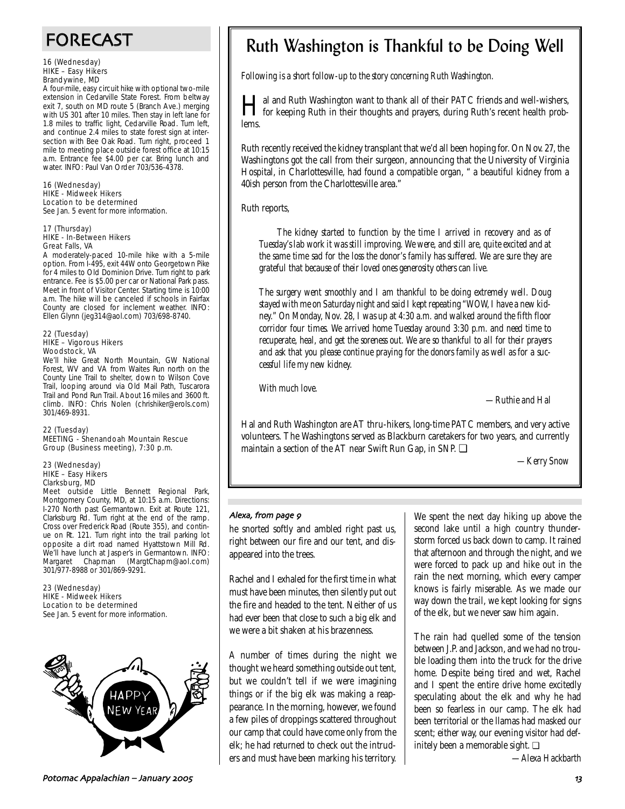# FORECAST

#### 16 (Wednesday) HIKE – Easy Hikers Brandywine, MD

A four-mile, easy circuit hike with optional two-mile extension in Cedarville State Forest. From beltway exit 7, south on MD route 5 (Branch Ave.) merging with US 301 after 10 miles. Then stay in left lane for 1.8 miles to traffic light, Cedarville Road. Turn left, and continue 2.4 miles to state forest sign at intersection with Bee Oak Road. Turn right, proceed 1 mile to meeting place outside forest office at 10:15 a.m. Entrance fee \$4.00 per car. Bring lunch and water. INFO: Paul Van Order 703/536-4378.

16 (Wednesday) HIKE - Midweek Hikers Location to be determined See Jan. 5 event for more information.

#### 17 (Thursday) HIKE - In-Between Hikers Great Falls, VA

A moderately-paced 10-mile hike with a 5-mile option. From I-495, exit 44W onto Georgetown Pike for 4 miles to Old Dominion Drive. Turn right to park entrance. Fee is \$5.00 per car or National Park pass. Meet in front of Visitor Center. Starting time is 10:00 a.m. The hike will be canceled if schools in Fairfax County are closed for inclement weather. INFO: Ellen Glynn (jeg314@aol.com) 703/698-8740.

#### 22 (Tuesday) HIKE – Vigorous Hikers Woodstock, VA

We'll hike Great North Mountain, GW National Forest, WV and VA from Waites Run north on the County Line Trail to shelter, down to Wilson Cove Trail, looping around via Old Mail Path, Tuscarora Trail and Pond Run Trail. About 16 miles and 3600 ft. climb. INFO: Chris Nolen (chrishiker@erols.com) 301/469-8931.

#### 22 (Tuesday) MEETING - Shenandoah Mountain Rescue Group (Business meeting), 7:30 p.m.

#### 23 (Wednesday) HIKE – Easy Hikers Clarksburg, MD

Meet outside Little Bennett Regional Park, Montgomery County, MD, at 10:15 a.m. Directions: I-270 North past Germantown. Exit at Route 121, Clarksburg Rd. Turn right at the end of the ramp. Cross over Frederick Road (Route 355), and continue on Rt. 121. Turn right into the trail parking lot opposite a dirt road named Hyattstown Mill Rd. We'll have lunch at Jasper's in Germantown. INFO: Margaret Chapman (MargtChapm@aol.com) 301/977-8988 or 301/869-9291.

23 (Wednesday) HIKE - Midweek Hikers Location to be determined See Jan. 5 event for more information.



# Ruth Washington is Thankful to be Doing Well

*Following is a short follow-up to the story concerning Ruth Washington.*

I al and Ruth Washington want to thank all of their PATC friends and well-wishers,<br>for keeping Ruth in their thoughts and prayers, during Ruth's recent health problems.

Ruth recently received the kidney transplant that we'd all been hoping for. On Nov. 27, the Washingtons got the call from their surgeon, announcing that the University of Virginia Hospital, in Charlottesville, had found a compatible organ, " a beautiful kidney from a 40ish person from the Charlottesville area."

Ruth reports,

*The kidney started to function by the time I arrived in recovery and as of Tuesday's lab work it was still improving. We were, and still are, quite excited and at the same time sad for the loss the donor's family has suffered. We are sure they are grateful that because of their loved ones generosity others can live.*

*The surgery went smoothly and I am thankful to be doing extremely well. Doug stayed with me on Saturday night and said I kept repeating "WOW, I have a new kidney." On Monday, Nov. 28, I was up at 4:30 a.m. and walked around the fifth floor corridor four times. We arrived home Tuesday around 3:30 p.m. and need time to recuperate, heal, and get the soreness out. We are so thankful to all for their prayers and ask that you please continue praying for the donors family as well as for a successful life my new kidney.*

*With much love.* 

*—Ruthie and Hal*

Hal and Ruth Washington are AT thru-hikers, long-time PATC members, and very active volunteers. The Washingtons served as Blackburn caretakers for two years, and currently maintain a section of the AT near Swift Run Gap, in SNP. ❏

*—Kerry Snow*

## Alexa, from page 9

he snorted softly and ambled right past us, right between our fire and our tent, and disappeared into the trees.

Rachel and I exhaled for the first time in what must have been minutes, then silently put out the fire and headed to the tent. Neither of us had ever been that close to such a big elk and we were a bit shaken at his brazenness.

A number of times during the night we thought we heard something outside out tent, but we couldn't tell if we were imagining things or if the big elk was making a reappearance. In the morning, however, we found a few piles of droppings scattered throughout our camp that could have come only from the elk; he had returned to check out the intruders and must have been marking his territory.

We spent the next day hiking up above the second lake until a high country thunderstorm forced us back down to camp. It rained that afternoon and through the night, and we were forced to pack up and hike out in the rain the next morning, which every camper knows is fairly miserable. As we made our way down the trail, we kept looking for signs of the elk, but we never saw him again.

The rain had quelled some of the tension between J.P. and Jackson, and we had no trouble loading them into the truck for the drive home. Despite being tired and wet, Rachel and I spent the entire drive home excitedly speculating about the elk and why he had been so fearless in our camp. The elk had been territorial or the llamas had masked our scent; either way, our evening visitor had definitely been a memorable sight. ❏

*—Alexa Hackbarth*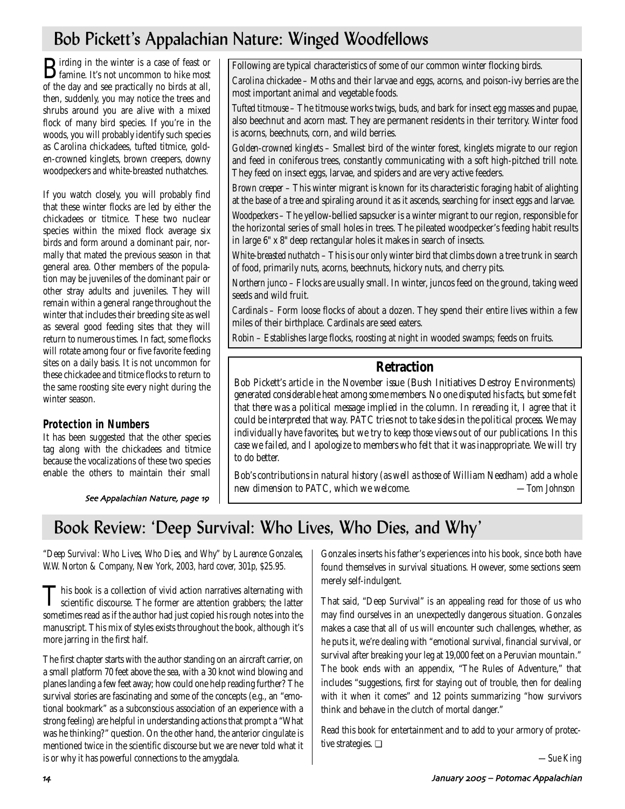# Bob Pickett's Appalachian Nature: Winged Woodfellows

**B**irding in the winter is a case of feast or<br>famine. It's not uncommon to hike most of the day and see practically no birds at all, then, suddenly, you may notice the trees and shrubs around you are alive with a mixed flock of many bird species. If you're in the woods, you will probably identify such species as Carolina chickadees, tufted titmice, golden-crowned kinglets, brown creepers, downy woodpeckers and white-breasted nuthatches.

If you watch closely, you will probably find that these winter flocks are led by either the chickadees or titmice. These two nuclear species within the mixed flock average six birds and form around a dominant pair, normally that mated the previous season in that general area. Other members of the population may be juveniles of the dominant pair or other stray adults and juveniles. They will remain within a general range throughout the winter that includes their breeding site as well as several good feeding sites that they will return to numerous times. In fact, some flocks will rotate among four or five favorite feeding sites on a daily basis. It is not uncommon for these chickadee and titmice flocks to return to the same roosting site every night during the winter season.

# **Protection in Numbers**

It has been suggested that the other species tag along with the chickadees and titmice because the vocalizations of these two species enable the others to maintain their small

See Appalachian Nature, page 19

Following are typical characteristics of some of our common winter flocking birds.

*Carolina chickadee* – Moths and their larvae and eggs, acorns, and poison-ivy berries are the most important animal and vegetable foods.

*Tufted titmouse* – The titmouse works twigs, buds, and bark for insect egg masses and pupae, also beechnut and acorn mast. They are permanent residents in their territory. Winter food is acorns, beechnuts, corn, and wild berries.

*Golden-crowned kinglets* – Smallest bird of the winter forest, kinglets migrate to our region and feed in coniferous trees, constantly communicating with a soft high-pitched trill note. They feed on insect eggs, larvae, and spiders and are very active feeders.

*Brown creeper* – This winter migrant is known for its characteristic foraging habit of alighting at the base of a tree and spiraling around it as it ascends, searching for insect eggs and larvae.

*Woodpeckers* – The yellow-bellied sapsucker is a winter migrant to our region, responsible for the horizontal series of small holes in trees. The pileated woodpecker's feeding habit results in large 6" x 8" deep rectangular holes it makes in search of insects.

*White-breasted nuthatch* – This is our only winter bird that climbs down a tree trunk in search of food, primarily nuts, acorns, beechnuts, hickory nuts, and cherry pits.

*Northern junco* – Flocks are usually small. In winter, juncos feed on the ground, taking weed seeds and wild fruit.

*Cardinals* – Form loose flocks of about a dozen. They spend their entire lives within a few miles of their birthplace. Cardinals are seed eaters.

*Robin* – Establishes large flocks, roosting at night in wooded swamps; feeds on fruits.

# **Retraction**

*Bob Pickett's article in the November issue (*Bush Initiatives Destroy Environments*) generated considerable heat among some members. No one disputed his facts, but some felt that there was a political message implied in the column. In rereading it, I agree that it could be interpreted that way. PATC tries not to take sides in the political process. We may individually have favorites, but we try to keep those views out of our publications. In this case we failed, and I apologize to members who felt that it was inappropriate. We will try to do better.*

*Bob's contributions in natural history (as well as those of William Needham) add a whole new dimension to PATC, which we welcome. —Tom Johnson*

# Book Review: 'Deep Survival: Who Lives, Who Dies, and Why'

*"Deep Survival: Who Lives, Who Dies, and Why" by Laurence Gonzales, W.W. Norton & Company, New York, 2003, hard cover, 301p, \$25.95.*

This book is a collection of vivid action narratives alternating with<br>scientific discourse. The former are attention grabbers; the latter sometimes read as if the author had just copied his rough notes into the manuscript. This mix of styles exists throughout the book, although it's more jarring in the first half.

The first chapter starts with the author standing on an aircraft carrier, on a small platform 70 feet above the sea, with a 30 knot wind blowing and planes landing a few feet away; how could one help reading further? The survival stories are fascinating and some of the concepts (e.g., an "emotional bookmark" as a subconscious association of an experience with a strong feeling) are helpful in understanding actions that prompt a "What was he thinking?" question. On the other hand, the anterior cingulate is mentioned twice in the scientific discourse but we are never told what it is or why it has powerful connections to the amygdala.

Gonzales inserts his father's experiences into his book, since both have found themselves in survival situations. However, some sections seem merely self-indulgent.

That said, "Deep Survival" is an appealing read for those of us who may find ourselves in an unexpectedly dangerous situation. Gonzales makes a case that all of us will encounter such challenges, whether, as he puts it, we're dealing with "emotional survival, financial survival, or survival after breaking your leg at 19,000 feet on a Peruvian mountain." The book ends with an appendix, "The Rules of Adventure," that includes "suggestions, first for staying out of trouble, then for dealing with it when it comes" and 12 points summarizing "how survivors think and behave in the clutch of mortal danger."

Read this book for entertainment and to add to your armory of protective strategies. ❏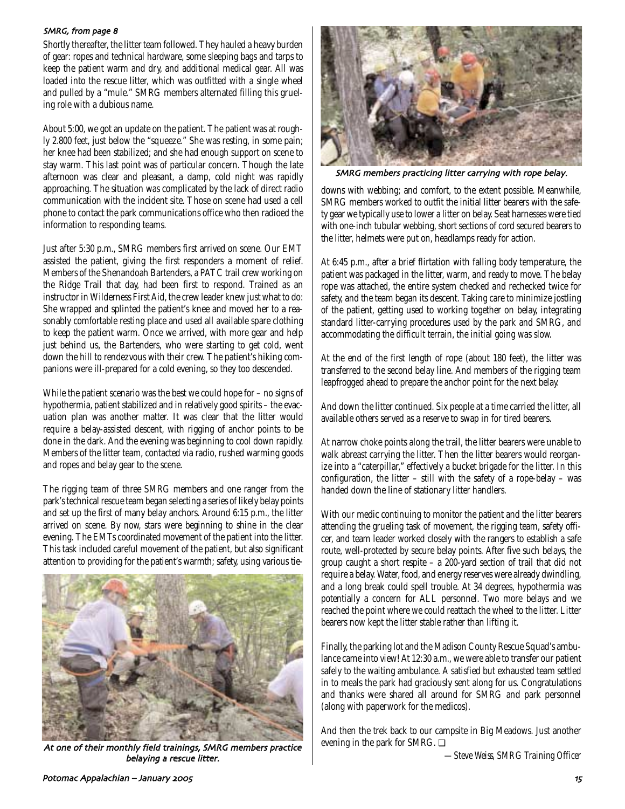#### SMRG, from page 8

Shortly thereafter, the litter team followed. They hauled a heavy burden of gear: ropes and technical hardware, some sleeping bags and tarps to keep the patient warm and dry, and additional medical gear. All was loaded into the rescue litter, which was outfitted with a single wheel and pulled by a "mule." SMRG members alternated filling this grueling role with a dubious name.

About 5:00, we got an update on the patient. The patient was at roughly 2.800 feet, just below the "squeeze." She was resting, in some pain; her knee had been stabilized; and she had enough support on scene to stay warm. This last point was of particular concern. Though the late afternoon was clear and pleasant, a damp, cold night was rapidly approaching. The situation was complicated by the lack of direct radio communication with the incident site. Those on scene had used a cell phone to contact the park communications office who then radioed the information to responding teams.

Just after 5:30 p.m., SMRG members first arrived on scene. Our EMT assisted the patient, giving the first responders a moment of relief. Members of the Shenandoah Bartenders, a PATC trail crew working on the Ridge Trail that day, had been first to respond. Trained as an instructor in Wilderness First Aid, the crew leader knew just what to do: She wrapped and splinted the patient's knee and moved her to a reasonably comfortable resting place and used all available spare clothing to keep the patient warm. Once we arrived, with more gear and help just behind us, the Bartenders, who were starting to get cold, went down the hill to rendezvous with their crew. The patient's hiking companions were ill-prepared for a cold evening, so they too descended.

While the patient scenario was the best we could hope for – no signs of hypothermia, patient stabilized and in relatively good spirits – the evacuation plan was another matter. It was clear that the litter would require a belay-assisted descent, with rigging of anchor points to be done in the dark. And the evening was beginning to cool down rapidly. Members of the litter team, contacted via radio, rushed warming goods and ropes and belay gear to the scene.

The rigging team of three SMRG members and one ranger from the park's technical rescue team began selecting a series of likely belay points and set up the first of many belay anchors. Around 6:15 p.m., the litter arrived on scene. By now, stars were beginning to shine in the clear evening. The EMTs coordinated movement of the patient into the litter. This task included careful movement of the patient, but also significant attention to providing for the patient's warmth; safety, using various tie-



At one of their monthly field trainings, SMRG members practice belaying a rescue litter.



SMRG members practicing litter carrying with rope belay.

downs with webbing; and comfort, to the extent possible. Meanwhile, SMRG members worked to outfit the initial litter bearers with the safety gear we typically use to lower a litter on belay. Seat harnesses were tied with one-inch tubular webbing, short sections of cord secured bearers to the litter, helmets were put on, headlamps ready for action.

At 6:45 p.m., after a brief flirtation with falling body temperature, the patient was packaged in the litter, warm, and ready to move. The belay rope was attached, the entire system checked and rechecked twice for safety, and the team began its descent. Taking care to minimize jostling of the patient, getting used to working together on belay, integrating standard litter-carrying procedures used by the park and SMRG, and accommodating the difficult terrain, the initial going was slow.

At the end of the first length of rope (about 180 feet), the litter was transferred to the second belay line. And members of the rigging team leapfrogged ahead to prepare the anchor point for the next belay.

And down the litter continued. Six people at a time carried the litter, all available others served as a reserve to swap in for tired bearers.

At narrow choke points along the trail, the litter bearers were unable to walk abreast carrying the litter. Then the litter bearers would reorganize into a "caterpillar," effectively a bucket brigade for the litter. In this configuration, the litter – still with the safety of a rope-belay – was handed down the line of stationary litter handlers.

With our medic continuing to monitor the patient and the litter bearers attending the grueling task of movement, the rigging team, safety officer, and team leader worked closely with the rangers to establish a safe route, well-protected by secure belay points. After five such belays, the group caught a short respite – a 200-yard section of trail that did not require a belay. Water, food, and energy reserves were already dwindling, and a long break could spell trouble. At 34 degrees, hypothermia was potentially a concern for ALL personnel. Two more belays and we reached the point where we could reattach the wheel to the litter. Litter bearers now kept the litter stable rather than lifting it.

Finally, the parking lot and the Madison County Rescue Squad's ambulance came into view! At 12:30 a.m., we were able to transfer our patient safely to the waiting ambulance. A satisfied but exhausted team settled in to meals the park had graciously sent along for us. Congratulations and thanks were shared all around for SMRG and park personnel (along with paperwork for the medicos).

And then the trek back to our campsite in Big Meadows. Just another evening in the park for SMRG. ❏

*—Steve Weiss, SMRG Training Officer*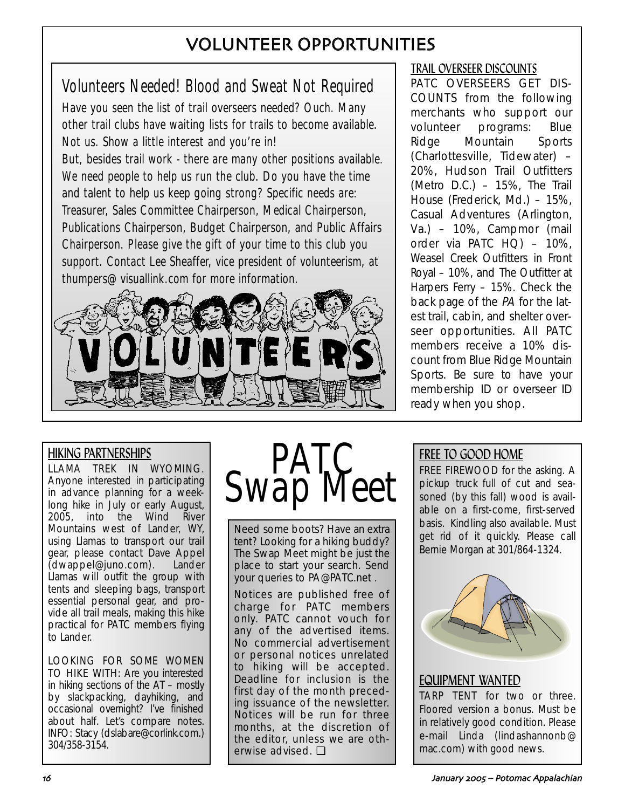# VOLUNTEER OPPORTUNITIES

# Volunteers Needed! Blood and Sweat Not Required

Have you seen the list of trail overseers needed? Ouch. Many other trail clubs have waiting lists for trails to become available. Not us. Show a little interest and you're in!

But, besides trail work - there are many other positions available. We need people to help us run the club. Do you have the time and talent to help us keep going strong? Specific needs are: Treasurer, Sales Committee Chairperson, Medical Chairperson, Publications Chairperson, Budget Chairperson, and Public Affairs Chairperson. Please give the gift of your time to this club you support. Contact Lee Sheaffer, vice president of volunteerism, at thumpers@visuallink.com for more information.



# TRAIL OVERSEER DISCOUNTS

PATC OVERSEERS GET DIS-COUNTS from the following merchants who support our volunteer programs: Blue Ridge Mountain Sports (Charlottesville, Tidewater) – 20%, Hudson Trail Outfitters (Metro D.C.) – 15%, The Trail House (Frederick, Md.) – 15%, Casual Adventures (Arlington, Va.) – 10%, Campmor (mail order via PATC HQ) – 10%, Weasel Creek Outfitters in Front Royal – 10%, and The Outfitter at Harpers Ferry – 15%. Check the back page of the PA for the latest trail, cabin, and shelter overseer opportunities. All PATC members receive a 10% discount from Blue Ridge Mountain Sports. Be sure to have your membership ID or overseer ID ready when you shop.

# HIKING PARTNERSHIPS

LLAMA TREK IN WYOMING. Anyone interested in participating in advance planning for a weeklong hike in July or early August, 2005, into the Wind River Mountains west of Lander, WY, using Llamas to transport our trail gear, please contact Dave Appel (dwappel@juno.com). Lander Llamas will outfit the group with tents and sleeping bags, transport essential personal gear, and provide all trail meals, making this hike practical for PATC members flying to Lander.

LOOKING FOR SOME WOMEN TO HIKE WITH: Are you interested in hiking sections of the AT – mostly by slackpacking, dayhiking, and occasional overnight? I've finished about half. Let's compare notes. INFO: Stacy (dslabare@corlink.com.) 304/358-3154.

# **Swap** I

Need some boots? Have an extra tent? Looking for a hiking buddy? The Swap Meet might be just the place to start your search. Send your queries to PA@PATC.net .

Notices are published free of charge for PATC members only. PATC cannot vouch for any of the advertised items. No commercial advertisement or personal notices unrelated to hiking will be accepted. Deadline for inclusion is the first day of the month preceding issuance of the newsletter. Notices will be run for three months, at the discretion of the editor, unless we are otherwise advised. ❏

# FREE TO GOOD HOME

FREE FIREWOOD for the asking. A pickup truck full of cut and seasoned (by this fall) wood is available on a first-come, first-served basis. Kindling also available. Must get rid of it quickly. Please call Bernie Morgan at 301/864-1324.



# EQUIPMENT WANTED TARP TENT for two or three. Floored version a bonus. Must be in relatively good condition. Please e-mail Linda (lindashannonb@ mac.com) with good news.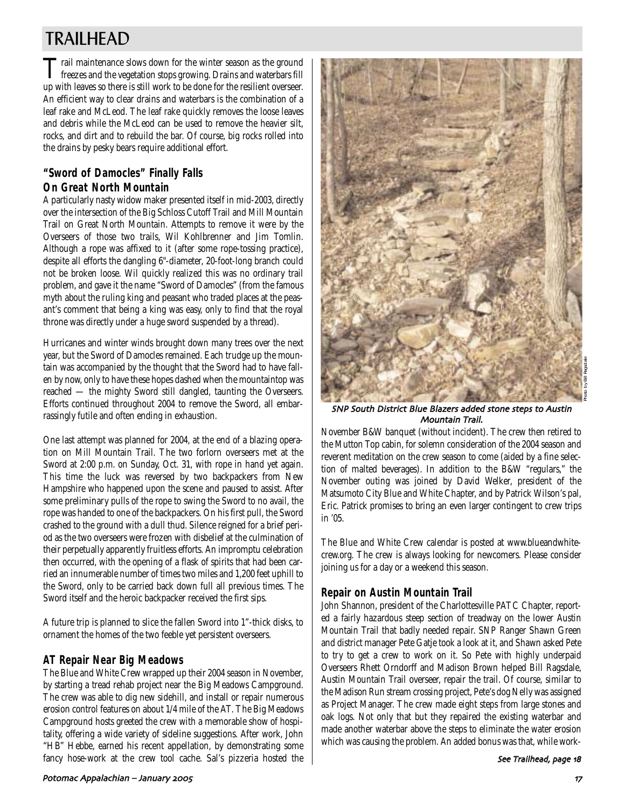# TRAILHEAD

Trail maintenance slows down for the winter season as the ground<br>freezes and the vegetation stops growing. Drains and waterbars fill<br>in the contract of the contract of the contract of the contract of the contract of the co up with leaves so there is still work to be done for the resilient overseer. An efficient way to clear drains and waterbars is the combination of a leaf rake and McLeod. The leaf rake quickly removes the loose leaves and debris while the McLeod can be used to remove the heavier silt, rocks, and dirt and to rebuild the bar. Of course, big rocks rolled into the drains by pesky bears require additional effort.

# **"Sword of Damocles" Finally Falls On Great North Mountain**

A particularly nasty widow maker presented itself in mid-2003, directly over the intersection of the Big Schloss Cutoff Trail and Mill Mountain Trail on Great North Mountain. Attempts to remove it were by the Overseers of those two trails, Wil Kohlbrenner and Jim Tomlin. Although a rope was affixed to it (after some rope-tossing practice), despite all efforts the dangling 6"-diameter, 20-foot-long branch could not be broken loose. Wil quickly realized this was no ordinary trail problem, and gave it the name "Sword of Damocles" (from the famous myth about the ruling king and peasant who traded places at the peasant's comment that being a king was easy, only to find that the royal throne was directly under a huge sword suspended by a thread).

Hurricanes and winter winds brought down many trees over the next year, but the Sword of Damocles remained. Each trudge up the mountain was accompanied by the thought that the Sword had to have fallen by now, only to have these hopes dashed when the mountaintop was reached — the mighty Sword still dangled, taunting the Overseers. Efforts continued throughout 2004 to remove the Sword, all embarrassingly futile and often ending in exhaustion.

One last attempt was planned for 2004, at the end of a blazing operation on Mill Mountain Trail. The two forlorn overseers met at the Sword at 2:00 p.m. on Sunday, Oct. 31, with rope in hand yet again. This time the luck was reversed by two backpackers from New Hampshire who happened upon the scene and paused to assist. After some preliminary pulls of the rope to swing the Sword to no avail, the rope was handed to one of the backpackers. On his first pull, the Sword crashed to the ground with a dull thud. Silence reigned for a brief period as the two overseers were frozen with disbelief at the culmination of their perpetually apparently fruitless efforts. An impromptu celebration then occurred, with the opening of a flask of spirits that had been carried an innumerable number of times two miles and 1,200 feet uphill to the Sword, only to be carried back down full all previous times. The Sword itself and the heroic backpacker received the first sips.

A future trip is planned to slice the fallen Sword into 1"-thick disks, to ornament the homes of the two feeble yet persistent overseers.

# **AT Repair Near Big Meadows**

The Blue and White Crew wrapped up their 2004 season in November, by starting a tread rehab project near the Big Meadows Campground. The crew was able to dig new sidehill, and install or repair numerous erosion control features on about 1/4 mile of the AT. The Big Meadows Campground hosts greeted the crew with a memorable show of hospitality, offering a wide variety of sideline suggestions. After work, John "HB" Hebbe, earned his recent appellation, by demonstrating some fancy hose-work at the crew tool cache. Sal's pizzeria hosted the



## SNP South District Blue Blazers added stone steps to Austin Mountain Trail.

November B&W banquet (without incident). The crew then retired to the Mutton Top cabin, for solemn consideration of the 2004 season and reverent meditation on the crew season to come (aided by a fine selection of malted beverages). In addition to the B&W "regulars," the November outing was joined by David Welker, president of the Matsumoto City Blue and White Chapter, and by Patrick Wilson's pal, Eric. Patrick promises to bring an even larger contingent to crew trips in '05.

The Blue and White Crew calendar is posted at www.blueandwhitecrew.org. The crew is always looking for newcomers. Please consider joining us for a day or a weekend this season.

# **Repair on Austin Mountain Trail**

John Shannon, president of the Charlottesville PATC Chapter, reported a fairly hazardous steep section of treadway on the lower Austin Mountain Trail that badly needed repair. SNP Ranger Shawn Green and district manager Pete Gatje took a look at it, and Shawn asked Pete to try to get a crew to work on it. So Pete with highly underpaid Overseers Rhett Orndorff and Madison Brown helped Bill Ragsdale, Austin Mountain Trail overseer, repair the trail. Of course, similar to the Madison Run stream crossing project, Pete's dog Nelly was assigned as Project Manager. The crew made eight steps from large stones and oak logs. Not only that but they repaired the existing waterbar and made another waterbar above the steps to eliminate the water erosion which was causing the problem. An added bonus was that, while work-

#### See Trailhead, page 18

## Potomac Appalachian – January 2005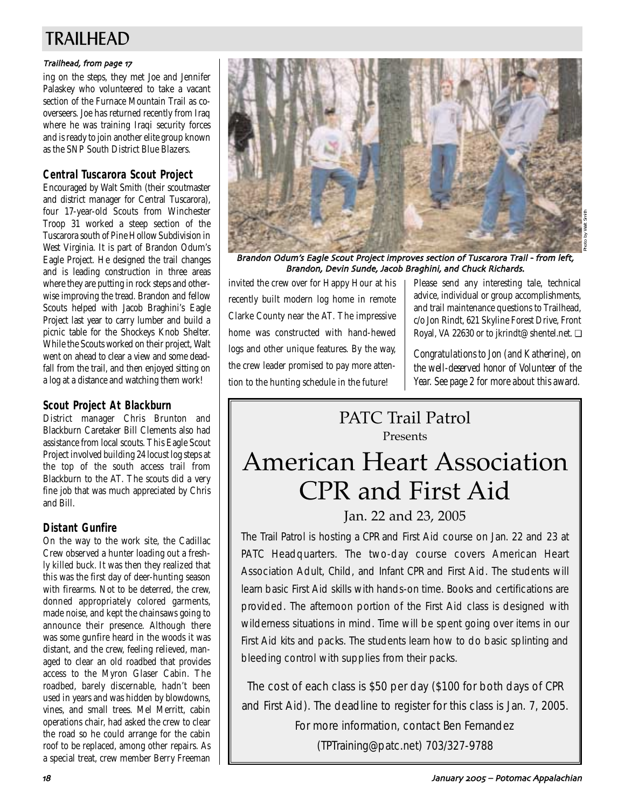# TRAILHEAD

## Trailhead, from page 17

ing on the steps, they met Joe and Jennifer Palaskey who volunteered to take a vacant section of the Furnace Mountain Trail as cooverseers. Joe has returned recently from Iraq where he was training Iraqi security forces and is ready to join another elite group known as the SNP South District Blue Blazers.

# **Central Tuscarora Scout Project**

Encouraged by Walt Smith (their scoutmaster and district manager for Central Tuscarora), four 17-year-old Scouts from Winchester Troop 31 worked a steep section of the Tuscarora south of Pine Hollow Subdivision in West Virginia. It is part of Brandon Odum's Eagle Project. He designed the trail changes and is leading construction in three areas where they are putting in rock steps and otherwise improving the tread. Brandon and fellow Scouts helped with Jacob Braghini's Eagle Project last year to carry lumber and build a picnic table for the Shockeys Knob Shelter. While the Scouts worked on their project, Walt went on ahead to clear a view and some deadfall from the trail, and then enjoyed sitting on a log at a distance and watching them work!

# **Scout Project At Blackburn**

District manager Chris Brunton and Blackburn Caretaker Bill Clements also had assistance from local scouts. This Eagle Scout Project involved building 24 locust log steps at the top of the south access trail from Blackburn to the AT. The scouts did a very fine job that was much appreciated by Chris and Bill.

# **Distant Gunfire**

On the way to the work site, the Cadillac Crew observed a hunter loading out a freshly killed buck. It was then they realized that this was the first day of deer-hunting season with firearms. Not to be deterred, the crew, donned appropriately colored garments, made noise, and kept the chainsaws going to announce their presence. Although there was some gunfire heard in the woods it was distant, and the crew, feeling relieved, managed to clear an old roadbed that provides access to the Myron Glaser Cabin. The roadbed, barely discernable, hadn't been used in years and was hidden by blowdowns, vines, and small trees. Mel Merritt, cabin operations chair, had asked the crew to clear the road so he could arrange for the cabin roof to be replaced, among other repairs. As a special treat, crew member Berry Freeman



Brandon Odum's Eagle Scout Project improves section of Tuscarora Trail - from left, Brandon, Devin Sunde, Jacob Braghini, and Chuck Richards.

invited the crew over for Happy Hour at his recently built modern log home in remote Clarke County near the AT. The impressive home was constructed with hand-hewed logs and other unique features. By the way, the crew leader promised to pay more attention to the hunting schedule in the future!

Please send any interesting tale, technical advice, individual or group accomplishments, and trail maintenance questions to Trailhead, c/o Jon Rindt, 621 Skyline Forest Drive, Front Royal, VA 22630 or to jkrindt@shentel.net. ❏

*Congratulations to Jon (and Katherine), on the well-deserved honor of Volunteer of the Year. See page 2 for more about this award.*

# PATC Trail Patrol Presents

# American Heart Association CPR and First Aid Jan. 22 and 23, 2005

The Trail Patrol is hosting a CPR and First Aid course on Jan. 22 and 23 at PATC Headquarters. The two-day course covers American Heart Association Adult, Child, and Infant CPR and First Aid. The students will learn basic First Aid skills with hands-on time. Books and certifications are provided. The afternoon portion of the First Aid class is designed with wilderness situations in mind. Time will be spent going over items in our First Aid kits and packs. The students learn how to do basic splinting and bleeding control with supplies from their packs.

The cost of each class is \$50 per day (\$100 for both days of CPR and First Aid). The deadline to register for this class is Jan. 7, 2005. For more information, contact Ben Fernandez (TPTraining@patc.net) 703/327-9788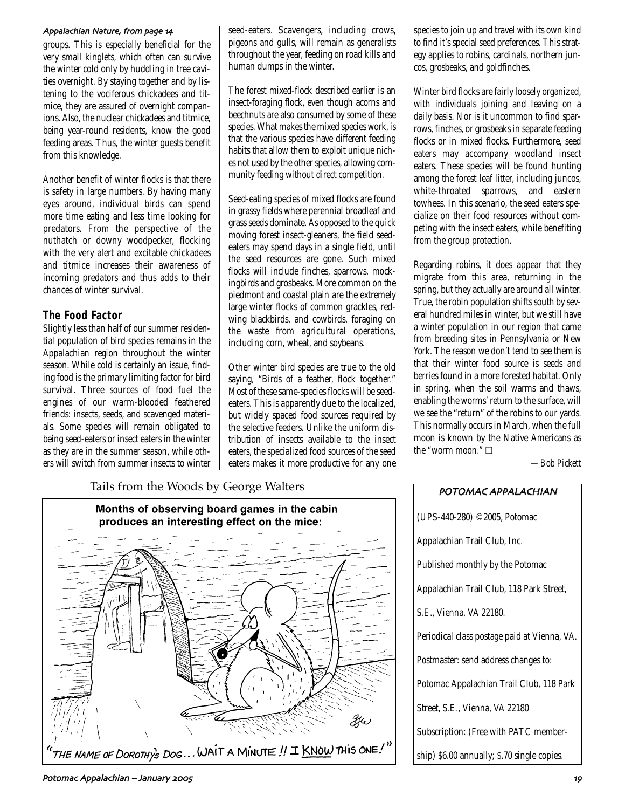#### Appalachian Nature, from page 14

groups. This is especially beneficial for the very small kinglets, which often can survive the winter cold only by huddling in tree cavities overnight. By staying together and by listening to the vociferous chickadees and titmice, they are assured of overnight companions. Also, the nuclear chickadees and titmice, being year-round residents, know the good feeding areas. Thus, the winter guests benefit from this knowledge.

Another benefit of winter flocks is that there is safety in large numbers. By having many eyes around, individual birds can spend more time eating and less time looking for predators. From the perspective of the nuthatch or downy woodpecker, flocking with the very alert and excitable chickadees and titmice increases their awareness of incoming predators and thus adds to their chances of winter survival.

## **The Food Factor**

Slightly less than half of our summer residential population of bird species remains in the Appalachian region throughout the winter season. While cold is certainly an issue, finding food is the primary limiting factor for bird survival. Three sources of food fuel the engines of our warm-blooded feathered friends: insects, seeds, and scavenged materials. Some species will remain obligated to being seed-eaters or insect eaters in the winter as they are in the summer season, while others will switch from summer insects to winter seed-eaters. Scavengers, including crows, pigeons and gulls, will remain as generalists throughout the year, feeding on road kills and human dumps in the winter.

The forest mixed-flock described earlier is an insect-foraging flock, even though acorns and beechnuts are also consumed by some of these species. What makes the mixed species work, is that the various species have different feeding habits that allow them to exploit unique niches not used by the other species, allowing community feeding without direct competition.

Seed-eating species of mixed flocks are found in grassy fields where perennial broadleaf and grass seeds dominate. As opposed to the quick moving forest insect-gleaners, the field seedeaters may spend days in a single field, until the seed resources are gone. Such mixed flocks will include finches, sparrows, mockingbirds and grosbeaks. More common on the piedmont and coastal plain are the extremely large winter flocks of common grackles, redwing blackbirds, and cowbirds, foraging on the waste from agricultural operations, including corn, wheat, and soybeans.

Other winter bird species are true to the old saying, "Birds of a feather, flock together." Most of these same-species flocks will be seedeaters. This is apparently due to the localized, but widely spaced food sources required by the selective feeders. Unlike the uniform distribution of insects available to the insect eaters, the specialized food sources of the seed eaters makes it more productive for any one

# Tails from the Woods by George Walters **POTOMAC APPALACHIAN**



species to join up and travel with its own kind to find it's special seed preferences. This strategy applies to robins, cardinals, northern juncos, grosbeaks, and goldfinches.

Winter bird flocks are fairly loosely organized, with individuals joining and leaving on a daily basis. Nor is it uncommon to find sparrows, finches, or grosbeaks in separate feeding flocks or in mixed flocks. Furthermore, seed eaters may accompany woodland insect eaters. These species will be found hunting among the forest leaf litter, including juncos, white-throated sparrows, and eastern towhees. In this scenario, the seed eaters specialize on their food resources without competing with the insect eaters, while benefiting from the group protection.

Regarding robins, it does appear that they migrate from this area, returning in the spring, but they actually are around all winter. True, the robin population shifts south by several hundred miles in winter, but we still have a winter population in our region that came from breeding sites in Pennsylvania or New York. The reason we don't tend to see them is that their winter food source is seeds and berries found in a more forested habitat. Only in spring, when the soil warms and thaws, enabling the worms' return to the surface, will we see the "return" of the robins to our yards. This normally occurs in March, when the full moon is known by the Native Americans as the "worm moon." ❏

*—Bob Pickett*



#### Potomac Appalachian – January 2005